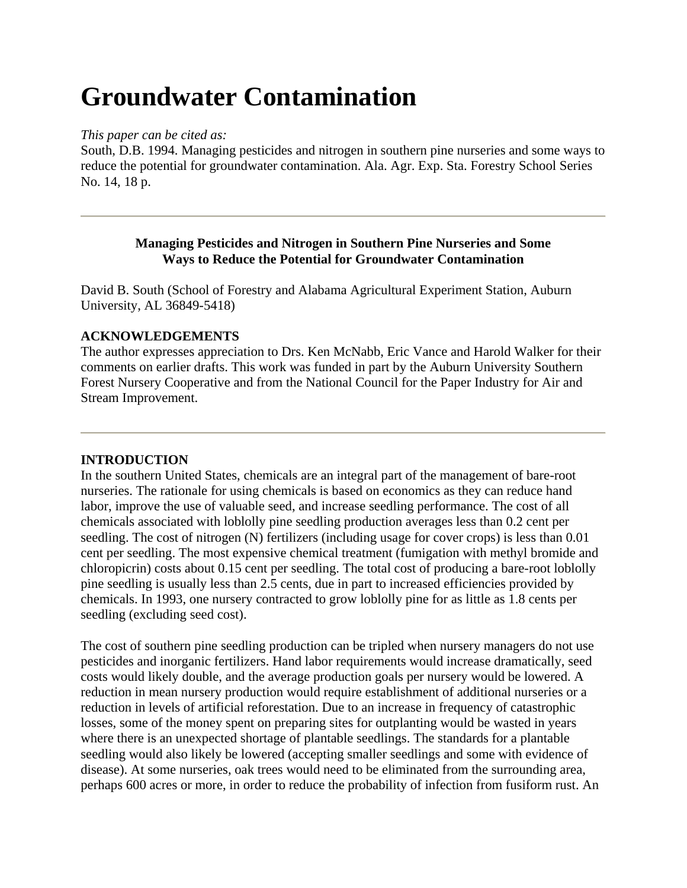# **Groundwater Contamination**

### *This paper can be cited as:*

South, D.B. 1994. Managing pesticides and nitrogen in southern pine nurseries and some ways to reduce the potential for groundwater contamination. Ala. Agr. Exp. Sta. Forestry School Series No. 14, 18 p.

### **Managing Pesticides and Nitrogen in Southern Pine Nurseries and Some Ways to Reduce the Potential for Groundwater Contamination**

David B. South (School of Forestry and Alabama Agricultural Experiment Station, Auburn University, AL 36849-5418)

# **ACKNOWLEDGEMENTS**

The author expresses appreciation to Drs. Ken McNabb, Eric Vance and Harold Walker for their comments on earlier drafts. This work was funded in part by the Auburn University Southern Forest Nursery Cooperative and from the National Council for the Paper Industry for Air and Stream Improvement.

# **INTRODUCTION**

In the southern United States, chemicals are an integral part of the management of bare-root nurseries. The rationale for using chemicals is based on economics as they can reduce hand labor, improve the use of valuable seed, and increase seedling performance. The cost of all chemicals associated with loblolly pine seedling production averages less than 0.2 cent per seedling. The cost of nitrogen (N) fertilizers (including usage for cover crops) is less than 0.01 cent per seedling. The most expensive chemical treatment (fumigation with methyl bromide and chloropicrin) costs about 0.15 cent per seedling. The total cost of producing a bare-root loblolly pine seedling is usually less than 2.5 cents, due in part to increased efficiencies provided by chemicals. In 1993, one nursery contracted to grow loblolly pine for as little as 1.8 cents per seedling (excluding seed cost).

The cost of southern pine seedling production can be tripled when nursery managers do not use pesticides and inorganic fertilizers. Hand labor requirements would increase dramatically, seed costs would likely double, and the average production goals per nursery would be lowered. A reduction in mean nursery production would require establishment of additional nurseries or a reduction in levels of artificial reforestation. Due to an increase in frequency of catastrophic losses, some of the money spent on preparing sites for outplanting would be wasted in years where there is an unexpected shortage of plantable seedlings. The standards for a plantable seedling would also likely be lowered (accepting smaller seedlings and some with evidence of disease). At some nurseries, oak trees would need to be eliminated from the surrounding area, perhaps 600 acres or more, in order to reduce the probability of infection from fusiform rust. An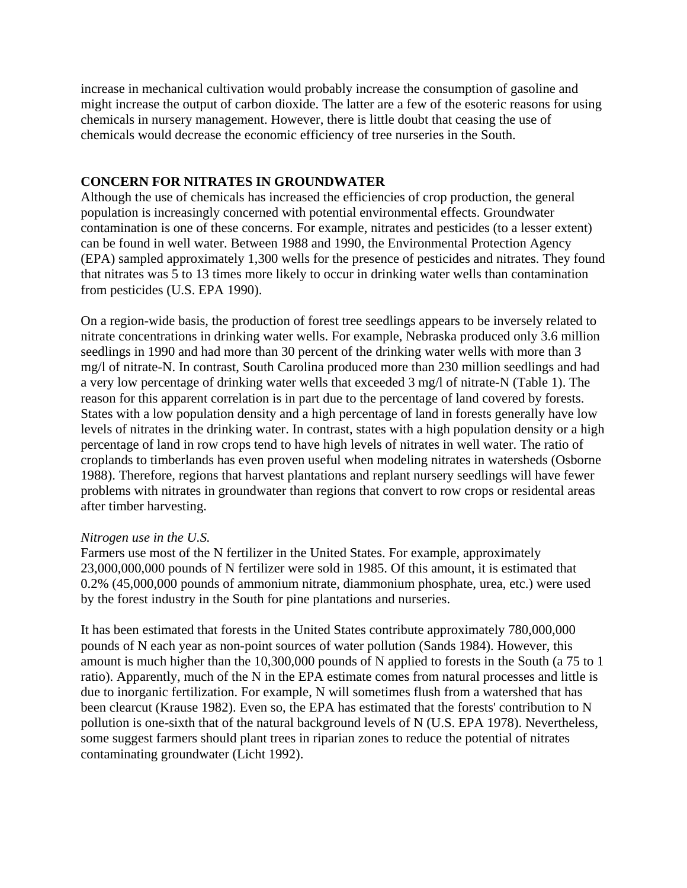increase in mechanical cultivation would probably increase the consumption of gasoline and might increase the output of carbon dioxide. The latter are a few of the esoteric reasons for using chemicals in nursery management. However, there is little doubt that ceasing the use of chemicals would decrease the economic efficiency of tree nurseries in the South.

# **CONCERN FOR NITRATES IN GROUNDWATER**

Although the use of chemicals has increased the efficiencies of crop production, the general population is increasingly concerned with potential environmental effects. Groundwater contamination is one of these concerns. For example, nitrates and pesticides (to a lesser extent) can be found in well water. Between 1988 and 1990, the Environmental Protection Agency (EPA) sampled approximately 1,300 wells for the presence of pesticides and nitrates. They found that nitrates was 5 to 13 times more likely to occur in drinking water wells than contamination from pesticides (U.S. EPA 1990).

On a region-wide basis, the production of forest tree seedlings appears to be inversely related to nitrate concentrations in drinking water wells. For example, Nebraska produced only 3.6 million seedlings in 1990 and had more than 30 percent of the drinking water wells with more than 3 mg/l of nitrate-N. In contrast, South Carolina produced more than 230 million seedlings and had a very low percentage of drinking water wells that exceeded 3 mg/l of nitrate-N (Table 1). The reason for this apparent correlation is in part due to the percentage of land covered by forests. States with a low population density and a high percentage of land in forests generally have low levels of nitrates in the drinking water. In contrast, states with a high population density or a high percentage of land in row crops tend to have high levels of nitrates in well water. The ratio of croplands to timberlands has even proven useful when modeling nitrates in watersheds (Osborne 1988). Therefore, regions that harvest plantations and replant nursery seedlings will have fewer problems with nitrates in groundwater than regions that convert to row crops or residental areas after timber harvesting.

#### *Nitrogen use in the U.S.*

Farmers use most of the N fertilizer in the United States. For example, approximately 23,000,000,000 pounds of N fertilizer were sold in 1985. Of this amount, it is estimated that 0.2% (45,000,000 pounds of ammonium nitrate, diammonium phosphate, urea, etc.) were used by the forest industry in the South for pine plantations and nurseries.

It has been estimated that forests in the United States contribute approximately 780,000,000 pounds of N each year as non-point sources of water pollution (Sands 1984). However, this amount is much higher than the 10,300,000 pounds of N applied to forests in the South (a 75 to 1 ratio). Apparently, much of the N in the EPA estimate comes from natural processes and little is due to inorganic fertilization. For example, N will sometimes flush from a watershed that has been clearcut (Krause 1982). Even so, the EPA has estimated that the forests' contribution to N pollution is one-sixth that of the natural background levels of N (U.S. EPA 1978). Nevertheless, some suggest farmers should plant trees in riparian zones to reduce the potential of nitrates contaminating groundwater (Licht 1992).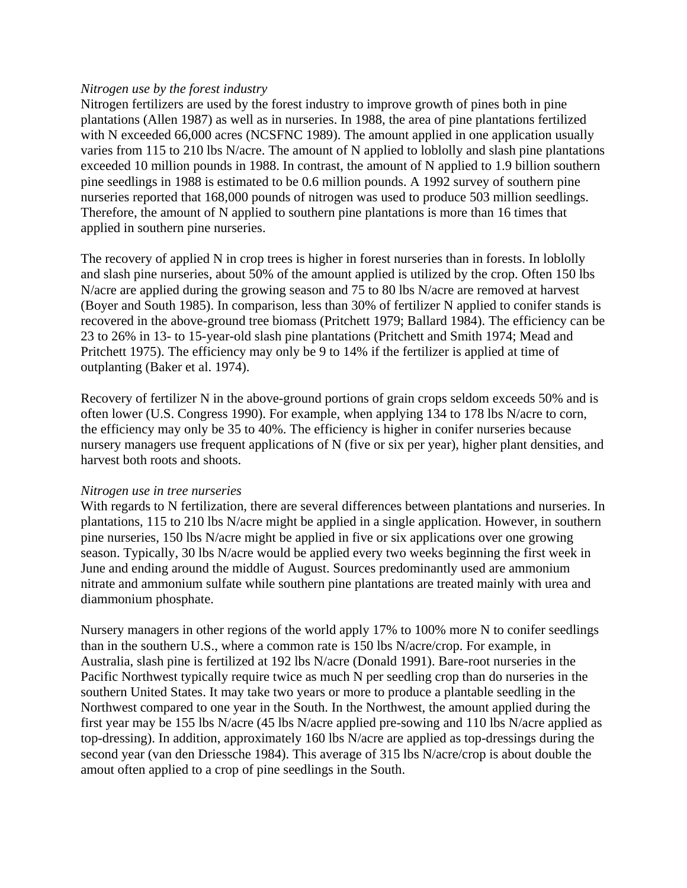#### *Nitrogen use by the forest industry*

Nitrogen fertilizers are used by the forest industry to improve growth of pines both in pine plantations (Allen 1987) as well as in nurseries. In 1988, the area of pine plantations fertilized with N exceeded 66,000 acres (NCSFNC 1989). The amount applied in one application usually varies from 115 to 210 lbs N/acre. The amount of N applied to loblolly and slash pine plantations exceeded 10 million pounds in 1988. In contrast, the amount of N applied to 1.9 billion southern pine seedlings in 1988 is estimated to be 0.6 million pounds. A 1992 survey of southern pine nurseries reported that 168,000 pounds of nitrogen was used to produce 503 million seedlings. Therefore, the amount of N applied to southern pine plantations is more than 16 times that applied in southern pine nurseries.

The recovery of applied N in crop trees is higher in forest nurseries than in forests. In loblolly and slash pine nurseries, about 50% of the amount applied is utilized by the crop. Often 150 lbs N/acre are applied during the growing season and 75 to 80 lbs N/acre are removed at harvest (Boyer and South 1985). In comparison, less than 30% of fertilizer N applied to conifer stands is recovered in the above-ground tree biomass (Pritchett 1979; Ballard 1984). The efficiency can be 23 to 26% in 13- to 15-year-old slash pine plantations (Pritchett and Smith 1974; Mead and Pritchett 1975). The efficiency may only be 9 to 14% if the fertilizer is applied at time of outplanting (Baker et al. 1974).

Recovery of fertilizer N in the above-ground portions of grain crops seldom exceeds 50% and is often lower (U.S. Congress 1990). For example, when applying 134 to 178 lbs N/acre to corn, the efficiency may only be 35 to 40%. The efficiency is higher in conifer nurseries because nursery managers use frequent applications of N (five or six per year), higher plant densities, and harvest both roots and shoots.

#### *Nitrogen use in tree nurseries*

With regards to N fertilization, there are several differences between plantations and nurseries. In plantations, 115 to 210 lbs N/acre might be applied in a single application. However, in southern pine nurseries, 150 lbs N/acre might be applied in five or six applications over one growing season. Typically, 30 lbs N/acre would be applied every two weeks beginning the first week in June and ending around the middle of August. Sources predominantly used are ammonium nitrate and ammonium sulfate while southern pine plantations are treated mainly with urea and diammonium phosphate.

Nursery managers in other regions of the world apply 17% to 100% more N to conifer seedlings than in the southern U.S., where a common rate is 150 lbs N/acre/crop. For example, in Australia, slash pine is fertilized at 192 lbs N/acre (Donald 1991). Bare-root nurseries in the Pacific Northwest typically require twice as much N per seedling crop than do nurseries in the southern United States. It may take two years or more to produce a plantable seedling in the Northwest compared to one year in the South. In the Northwest, the amount applied during the first year may be 155 lbs N/acre (45 lbs N/acre applied pre-sowing and 110 lbs N/acre applied as top-dressing). In addition, approximately 160 lbs N/acre are applied as top-dressings during the second year (van den Driessche 1984). This average of 315 lbs N/acre/crop is about double the amout often applied to a crop of pine seedlings in the South.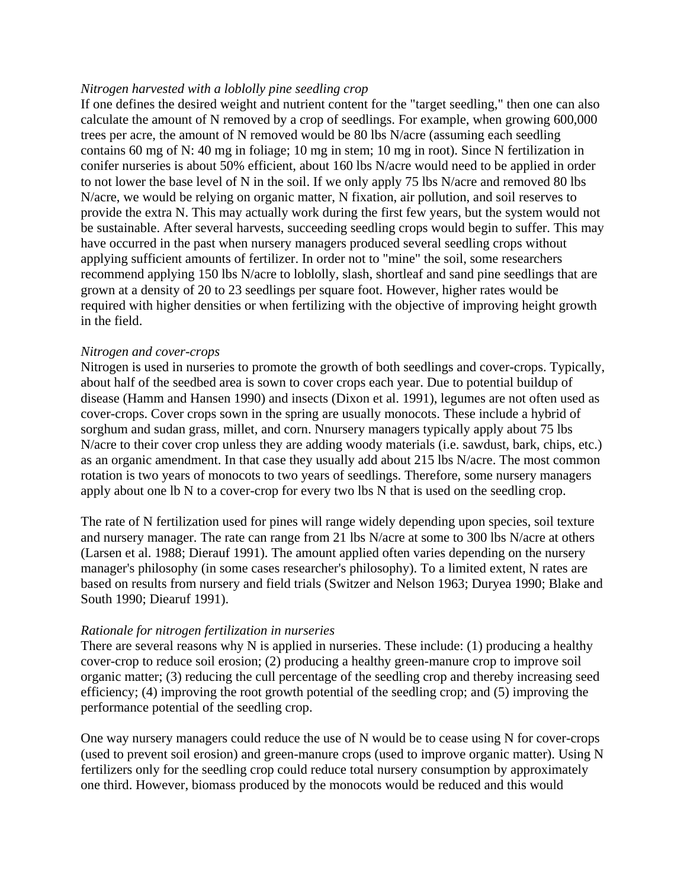#### *Nitrogen harvested with a loblolly pine seedling crop*

If one defines the desired weight and nutrient content for the "target seedling," then one can also calculate the amount of N removed by a crop of seedlings. For example, when growing 600,000 trees per acre, the amount of N removed would be 80 lbs N/acre (assuming each seedling contains 60 mg of N: 40 mg in foliage; 10 mg in stem; 10 mg in root). Since N fertilization in conifer nurseries is about 50% efficient, about 160 lbs N/acre would need to be applied in order to not lower the base level of N in the soil. If we only apply 75 lbs N/acre and removed 80 lbs N/acre, we would be relying on organic matter, N fixation, air pollution, and soil reserves to provide the extra N. This may actually work during the first few years, but the system would not be sustainable. After several harvests, succeeding seedling crops would begin to suffer. This may have occurred in the past when nursery managers produced several seedling crops without applying sufficient amounts of fertilizer. In order not to "mine" the soil, some researchers recommend applying 150 lbs N/acre to loblolly, slash, shortleaf and sand pine seedlings that are grown at a density of 20 to 23 seedlings per square foot. However, higher rates would be required with higher densities or when fertilizing with the objective of improving height growth in the field.

#### *Nitrogen and cover-crops*

Nitrogen is used in nurseries to promote the growth of both seedlings and cover-crops. Typically, about half of the seedbed area is sown to cover crops each year. Due to potential buildup of disease (Hamm and Hansen 1990) and insects (Dixon et al. 1991), legumes are not often used as cover-crops. Cover crops sown in the spring are usually monocots. These include a hybrid of sorghum and sudan grass, millet, and corn. Nnursery managers typically apply about 75 lbs N/acre to their cover crop unless they are adding woody materials (i.e. sawdust, bark, chips, etc.) as an organic amendment. In that case they usually add about 215 lbs N/acre. The most common rotation is two years of monocots to two years of seedlings. Therefore, some nursery managers apply about one lb N to a cover-crop for every two lbs N that is used on the seedling crop.

The rate of N fertilization used for pines will range widely depending upon species, soil texture and nursery manager. The rate can range from 21 lbs N/acre at some to 300 lbs N/acre at others (Larsen et al. 1988; Dierauf 1991). The amount applied often varies depending on the nursery manager's philosophy (in some cases researcher's philosophy). To a limited extent, N rates are based on results from nursery and field trials (Switzer and Nelson 1963; Duryea 1990; Blake and South 1990; Diearuf 1991).

#### *Rationale for nitrogen fertilization in nurseries*

There are several reasons why N is applied in nurseries. These include: (1) producing a healthy cover-crop to reduce soil erosion; (2) producing a healthy green-manure crop to improve soil organic matter; (3) reducing the cull percentage of the seedling crop and thereby increasing seed efficiency; (4) improving the root growth potential of the seedling crop; and (5) improving the performance potential of the seedling crop.

One way nursery managers could reduce the use of N would be to cease using N for cover-crops (used to prevent soil erosion) and green-manure crops (used to improve organic matter). Using N fertilizers only for the seedling crop could reduce total nursery consumption by approximately one third. However, biomass produced by the monocots would be reduced and this would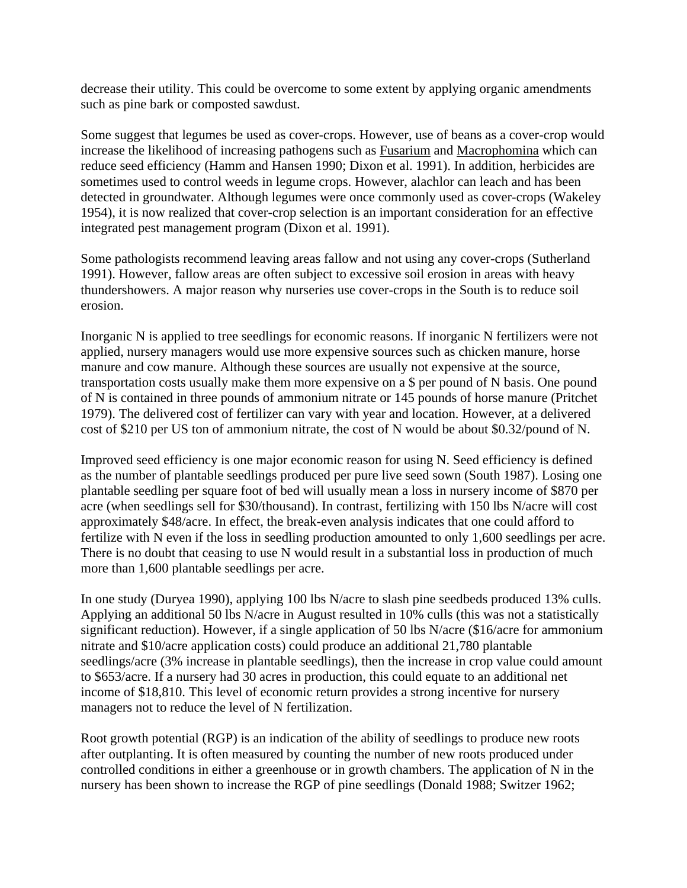decrease their utility. This could be overcome to some extent by applying organic amendments such as pine bark or composted sawdust.

Some suggest that legumes be used as cover-crops. However, use of beans as a cover-crop would increase the likelihood of increasing pathogens such as Fusarium and Macrophomina which can reduce seed efficiency (Hamm and Hansen 1990; Dixon et al. 1991). In addition, herbicides are sometimes used to control weeds in legume crops. However, alachlor can leach and has been detected in groundwater. Although legumes were once commonly used as cover-crops (Wakeley 1954), it is now realized that cover-crop selection is an important consideration for an effective integrated pest management program (Dixon et al. 1991).

Some pathologists recommend leaving areas fallow and not using any cover-crops (Sutherland 1991). However, fallow areas are often subject to excessive soil erosion in areas with heavy thundershowers. A major reason why nurseries use cover-crops in the South is to reduce soil erosion.

Inorganic N is applied to tree seedlings for economic reasons. If inorganic N fertilizers were not applied, nursery managers would use more expensive sources such as chicken manure, horse manure and cow manure. Although these sources are usually not expensive at the source, transportation costs usually make them more expensive on a \$ per pound of N basis. One pound of N is contained in three pounds of ammonium nitrate or 145 pounds of horse manure (Pritchet 1979). The delivered cost of fertilizer can vary with year and location. However, at a delivered cost of \$210 per US ton of ammonium nitrate, the cost of N would be about \$0.32/pound of N.

Improved seed efficiency is one major economic reason for using N. Seed efficiency is defined as the number of plantable seedlings produced per pure live seed sown (South 1987). Losing one plantable seedling per square foot of bed will usually mean a loss in nursery income of \$870 per acre (when seedlings sell for \$30/thousand). In contrast, fertilizing with 150 lbs N/acre will cost approximately \$48/acre. In effect, the break-even analysis indicates that one could afford to fertilize with N even if the loss in seedling production amounted to only 1,600 seedlings per acre. There is no doubt that ceasing to use N would result in a substantial loss in production of much more than 1,600 plantable seedlings per acre.

In one study (Duryea 1990), applying 100 lbs N/acre to slash pine seedbeds produced 13% culls. Applying an additional 50 lbs N/acre in August resulted in 10% culls (this was not a statistically significant reduction). However, if a single application of 50 lbs N/acre (\$16/acre for ammonium nitrate and \$10/acre application costs) could produce an additional 21,780 plantable seedlings/acre (3% increase in plantable seedlings), then the increase in crop value could amount to \$653/acre. If a nursery had 30 acres in production, this could equate to an additional net income of \$18,810. This level of economic return provides a strong incentive for nursery managers not to reduce the level of N fertilization.

Root growth potential (RGP) is an indication of the ability of seedlings to produce new roots after outplanting. It is often measured by counting the number of new roots produced under controlled conditions in either a greenhouse or in growth chambers. The application of N in the nursery has been shown to increase the RGP of pine seedlings (Donald 1988; Switzer 1962;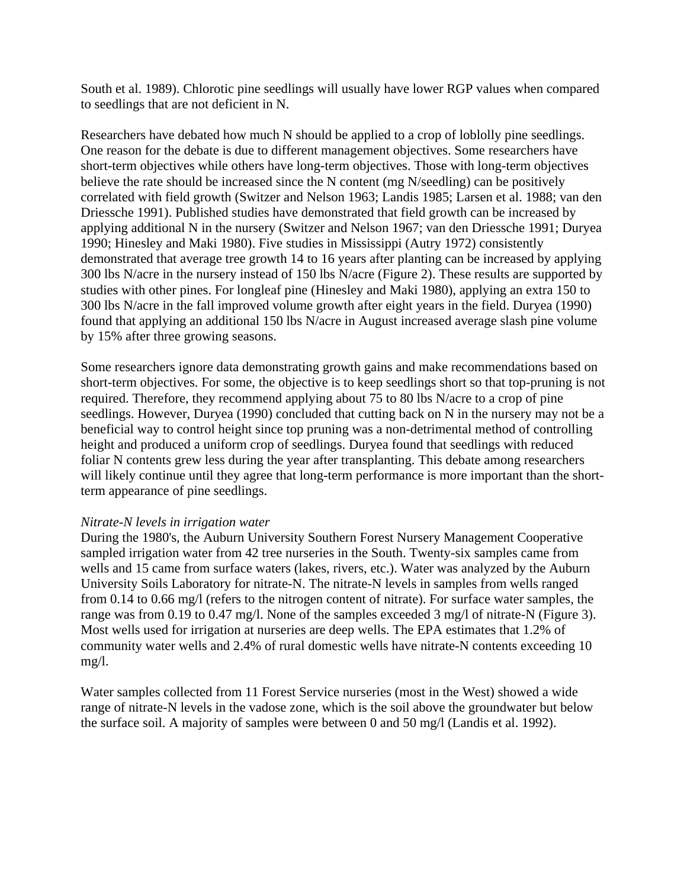South et al. 1989). Chlorotic pine seedlings will usually have lower RGP values when compared to seedlings that are not deficient in N.

Researchers have debated how much N should be applied to a crop of loblolly pine seedlings. One reason for the debate is due to different management objectives. Some researchers have short-term objectives while others have long-term objectives. Those with long-term objectives believe the rate should be increased since the N content (mg N/seedling) can be positively correlated with field growth (Switzer and Nelson 1963; Landis 1985; Larsen et al. 1988; van den Driessche 1991). Published studies have demonstrated that field growth can be increased by applying additional N in the nursery (Switzer and Nelson 1967; van den Driessche 1991; Duryea 1990; Hinesley and Maki 1980). Five studies in Mississippi (Autry 1972) consistently demonstrated that average tree growth 14 to 16 years after planting can be increased by applying 300 lbs N/acre in the nursery instead of 150 lbs N/acre (Figure 2). These results are supported by studies with other pines. For longleaf pine (Hinesley and Maki 1980), applying an extra 150 to 300 lbs N/acre in the fall improved volume growth after eight years in the field. Duryea (1990) found that applying an additional 150 lbs N/acre in August increased average slash pine volume by 15% after three growing seasons.

Some researchers ignore data demonstrating growth gains and make recommendations based on short-term objectives. For some, the objective is to keep seedlings short so that top-pruning is not required. Therefore, they recommend applying about 75 to 80 lbs N/acre to a crop of pine seedlings. However, Duryea (1990) concluded that cutting back on N in the nursery may not be a beneficial way to control height since top pruning was a non-detrimental method of controlling height and produced a uniform crop of seedlings. Duryea found that seedlings with reduced foliar N contents grew less during the year after transplanting. This debate among researchers will likely continue until they agree that long-term performance is more important than the shortterm appearance of pine seedlings.

#### *Nitrate-N levels in irrigation water*

During the 1980's, the Auburn University Southern Forest Nursery Management Cooperative sampled irrigation water from 42 tree nurseries in the South. Twenty-six samples came from wells and 15 came from surface waters (lakes, rivers, etc.). Water was analyzed by the Auburn University Soils Laboratory for nitrate-N. The nitrate-N levels in samples from wells ranged from 0.14 to 0.66 mg/l (refers to the nitrogen content of nitrate). For surface water samples, the range was from 0.19 to 0.47 mg/l. None of the samples exceeded 3 mg/l of nitrate-N (Figure 3). Most wells used for irrigation at nurseries are deep wells. The EPA estimates that 1.2% of community water wells and 2.4% of rural domestic wells have nitrate-N contents exceeding 10 mg/l.

Water samples collected from 11 Forest Service nurseries (most in the West) showed a wide range of nitrate-N levels in the vadose zone, which is the soil above the groundwater but below the surface soil. A majority of samples were between 0 and 50 mg/l (Landis et al. 1992).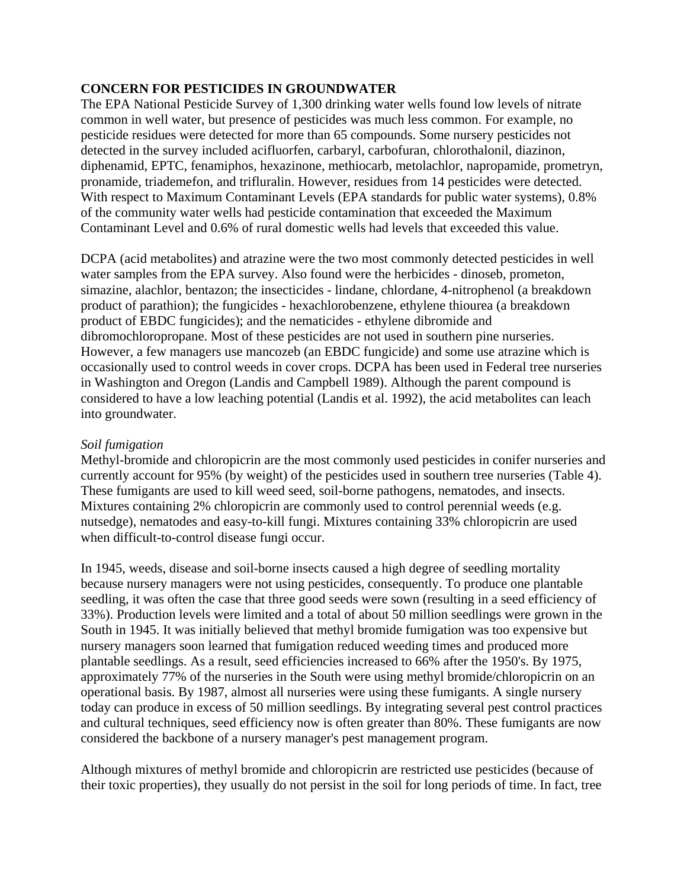# **CONCERN FOR PESTICIDES IN GROUNDWATER**

The EPA National Pesticide Survey of 1,300 drinking water wells found low levels of nitrate common in well water, but presence of pesticides was much less common. For example, no pesticide residues were detected for more than 65 compounds. Some nursery pesticides not detected in the survey included acifluorfen, carbaryl, carbofuran, chlorothalonil, diazinon, diphenamid, EPTC, fenamiphos, hexazinone, methiocarb, metolachlor, napropamide, prometryn, pronamide, triademefon, and trifluralin. However, residues from 14 pesticides were detected. With respect to Maximum Contaminant Levels (EPA standards for public water systems), 0.8% of the community water wells had pesticide contamination that exceeded the Maximum Contaminant Level and 0.6% of rural domestic wells had levels that exceeded this value.

DCPA (acid metabolites) and atrazine were the two most commonly detected pesticides in well water samples from the EPA survey. Also found were the herbicides - dinoseb, prometon, simazine, alachlor, bentazon; the insecticides - lindane, chlordane, 4-nitrophenol (a breakdown product of parathion); the fungicides - hexachlorobenzene, ethylene thiourea (a breakdown product of EBDC fungicides); and the nematicides - ethylene dibromide and dibromochloropropane. Most of these pesticides are not used in southern pine nurseries. However, a few managers use mancozeb (an EBDC fungicide) and some use atrazine which is occasionally used to control weeds in cover crops. DCPA has been used in Federal tree nurseries in Washington and Oregon (Landis and Campbell 1989). Although the parent compound is considered to have a low leaching potential (Landis et al. 1992), the acid metabolites can leach into groundwater.

#### *Soil fumigation*

Methyl-bromide and chloropicrin are the most commonly used pesticides in conifer nurseries and currently account for 95% (by weight) of the pesticides used in southern tree nurseries (Table 4). These fumigants are used to kill weed seed, soil-borne pathogens, nematodes, and insects. Mixtures containing 2% chloropicrin are commonly used to control perennial weeds (e.g. nutsedge), nematodes and easy-to-kill fungi. Mixtures containing 33% chloropicrin are used when difficult-to-control disease fungi occur.

In 1945, weeds, disease and soil-borne insects caused a high degree of seedling mortality because nursery managers were not using pesticides, consequently. To produce one plantable seedling, it was often the case that three good seeds were sown (resulting in a seed efficiency of 33%). Production levels were limited and a total of about 50 million seedlings were grown in the South in 1945. It was initially believed that methyl bromide fumigation was too expensive but nursery managers soon learned that fumigation reduced weeding times and produced more plantable seedlings. As a result, seed efficiencies increased to 66% after the 1950's. By 1975, approximately 77% of the nurseries in the South were using methyl bromide/chloropicrin on an operational basis. By 1987, almost all nurseries were using these fumigants. A single nursery today can produce in excess of 50 million seedlings. By integrating several pest control practices and cultural techniques, seed efficiency now is often greater than 80%. These fumigants are now considered the backbone of a nursery manager's pest management program.

Although mixtures of methyl bromide and chloropicrin are restricted use pesticides (because of their toxic properties), they usually do not persist in the soil for long periods of time. In fact, tree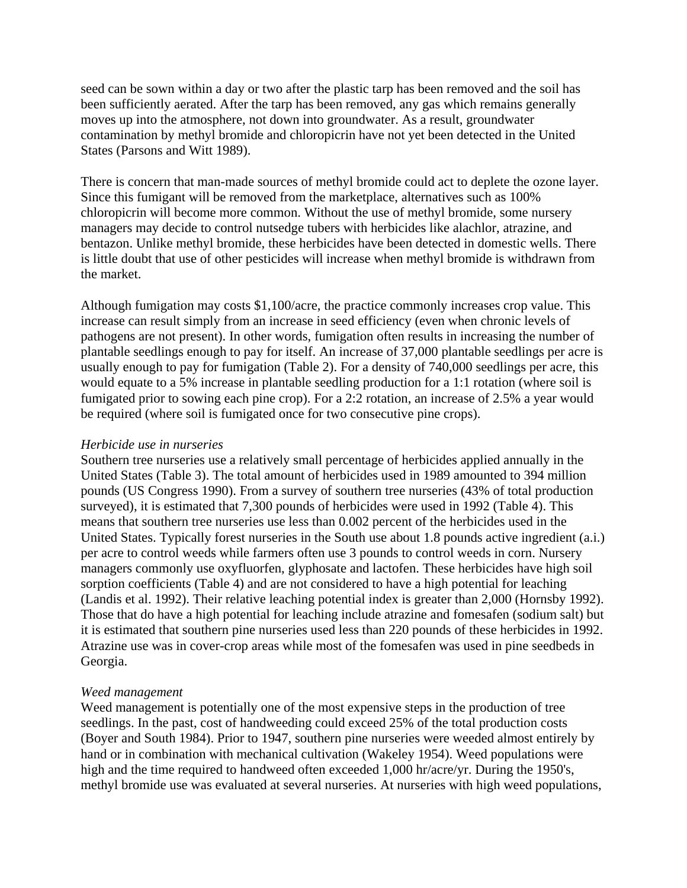seed can be sown within a day or two after the plastic tarp has been removed and the soil has been sufficiently aerated. After the tarp has been removed, any gas which remains generally moves up into the atmosphere, not down into groundwater. As a result, groundwater contamination by methyl bromide and chloropicrin have not yet been detected in the United States (Parsons and Witt 1989).

There is concern that man-made sources of methyl bromide could act to deplete the ozone layer. Since this fumigant will be removed from the marketplace, alternatives such as 100% chloropicrin will become more common. Without the use of methyl bromide, some nursery managers may decide to control nutsedge tubers with herbicides like alachlor, atrazine, and bentazon. Unlike methyl bromide, these herbicides have been detected in domestic wells. There is little doubt that use of other pesticides will increase when methyl bromide is withdrawn from the market.

Although fumigation may costs \$1,100/acre, the practice commonly increases crop value. This increase can result simply from an increase in seed efficiency (even when chronic levels of pathogens are not present). In other words, fumigation often results in increasing the number of plantable seedlings enough to pay for itself. An increase of 37,000 plantable seedlings per acre is usually enough to pay for fumigation (Table 2). For a density of 740,000 seedlings per acre, this would equate to a 5% increase in plantable seedling production for a 1:1 rotation (where soil is fumigated prior to sowing each pine crop). For a 2:2 rotation, an increase of 2.5% a year would be required (where soil is fumigated once for two consecutive pine crops).

#### *Herbicide use in nurseries*

Southern tree nurseries use a relatively small percentage of herbicides applied annually in the United States (Table 3). The total amount of herbicides used in 1989 amounted to 394 million pounds (US Congress 1990). From a survey of southern tree nurseries (43% of total production surveyed), it is estimated that 7,300 pounds of herbicides were used in 1992 (Table 4). This means that southern tree nurseries use less than 0.002 percent of the herbicides used in the United States. Typically forest nurseries in the South use about 1.8 pounds active ingredient (a.i.) per acre to control weeds while farmers often use 3 pounds to control weeds in corn. Nursery managers commonly use oxyfluorfen, glyphosate and lactofen. These herbicides have high soil sorption coefficients (Table 4) and are not considered to have a high potential for leaching (Landis et al. 1992). Their relative leaching potential index is greater than 2,000 (Hornsby 1992). Those that do have a high potential for leaching include atrazine and fomesafen (sodium salt) but it is estimated that southern pine nurseries used less than 220 pounds of these herbicides in 1992. Atrazine use was in cover-crop areas while most of the fomesafen was used in pine seedbeds in Georgia.

#### *Weed management*

Weed management is potentially one of the most expensive steps in the production of tree seedlings. In the past, cost of handweeding could exceed 25% of the total production costs (Boyer and South 1984). Prior to 1947, southern pine nurseries were weeded almost entirely by hand or in combination with mechanical cultivation (Wakeley 1954). Weed populations were high and the time required to handweed often exceeded 1,000 hr/acre/yr. During the 1950's, methyl bromide use was evaluated at several nurseries. At nurseries with high weed populations,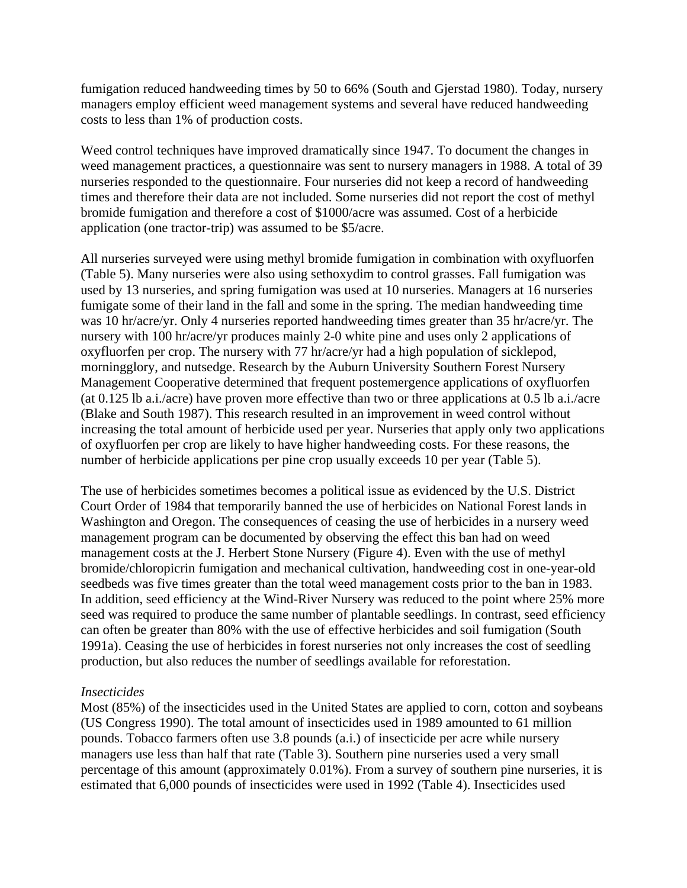fumigation reduced handweeding times by 50 to 66% (South and Gjerstad 1980). Today, nursery managers employ efficient weed management systems and several have reduced handweeding costs to less than 1% of production costs.

Weed control techniques have improved dramatically since 1947. To document the changes in weed management practices, a questionnaire was sent to nursery managers in 1988. A total of 39 nurseries responded to the questionnaire. Four nurseries did not keep a record of handweeding times and therefore their data are not included. Some nurseries did not report the cost of methyl bromide fumigation and therefore a cost of \$1000/acre was assumed. Cost of a herbicide application (one tractor-trip) was assumed to be \$5/acre.

All nurseries surveyed were using methyl bromide fumigation in combination with oxyfluorfen (Table 5). Many nurseries were also using sethoxydim to control grasses. Fall fumigation was used by 13 nurseries, and spring fumigation was used at 10 nurseries. Managers at 16 nurseries fumigate some of their land in the fall and some in the spring. The median handweeding time was 10 hr/acre/yr. Only 4 nurseries reported handweeding times greater than 35 hr/acre/yr. The nursery with 100 hr/acre/yr produces mainly 2-0 white pine and uses only 2 applications of oxyfluorfen per crop. The nursery with 77 hr/acre/yr had a high population of sicklepod, morningglory, and nutsedge. Research by the Auburn University Southern Forest Nursery Management Cooperative determined that frequent postemergence applications of oxyfluorfen (at 0.125 lb a.i./acre) have proven more effective than two or three applications at 0.5 lb a.i./acre (Blake and South 1987). This research resulted in an improvement in weed control without increasing the total amount of herbicide used per year. Nurseries that apply only two applications of oxyfluorfen per crop are likely to have higher handweeding costs. For these reasons, the number of herbicide applications per pine crop usually exceeds 10 per year (Table 5).

The use of herbicides sometimes becomes a political issue as evidenced by the U.S. District Court Order of 1984 that temporarily banned the use of herbicides on National Forest lands in Washington and Oregon. The consequences of ceasing the use of herbicides in a nursery weed management program can be documented by observing the effect this ban had on weed management costs at the J. Herbert Stone Nursery (Figure 4). Even with the use of methyl bromide/chloropicrin fumigation and mechanical cultivation, handweeding cost in one-year-old seedbeds was five times greater than the total weed management costs prior to the ban in 1983. In addition, seed efficiency at the Wind-River Nursery was reduced to the point where 25% more seed was required to produce the same number of plantable seedlings. In contrast, seed efficiency can often be greater than 80% with the use of effective herbicides and soil fumigation (South 1991a). Ceasing the use of herbicides in forest nurseries not only increases the cost of seedling production, but also reduces the number of seedlings available for reforestation.

#### *Insecticides*

Most (85%) of the insecticides used in the United States are applied to corn, cotton and soybeans (US Congress 1990). The total amount of insecticides used in 1989 amounted to 61 million pounds. Tobacco farmers often use 3.8 pounds (a.i.) of insecticide per acre while nursery managers use less than half that rate (Table 3). Southern pine nurseries used a very small percentage of this amount (approximately 0.01%). From a survey of southern pine nurseries, it is estimated that 6,000 pounds of insecticides were used in 1992 (Table 4). Insecticides used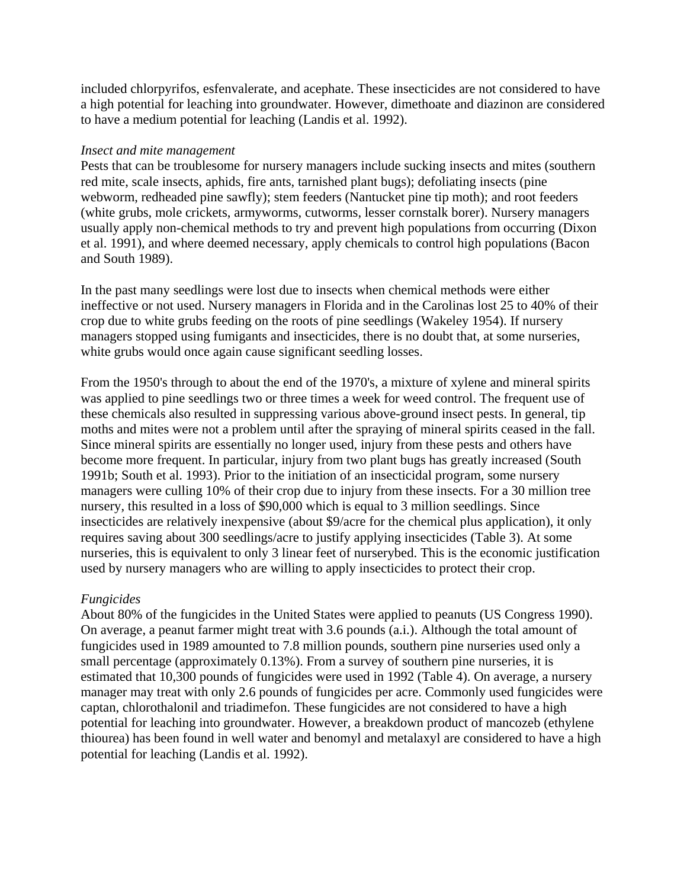included chlorpyrifos, esfenvalerate, and acephate. These insecticides are not considered to have a high potential for leaching into groundwater. However, dimethoate and diazinon are considered to have a medium potential for leaching (Landis et al. 1992).

#### *Insect and mite management*

Pests that can be troublesome for nursery managers include sucking insects and mites (southern red mite, scale insects, aphids, fire ants, tarnished plant bugs); defoliating insects (pine webworm, redheaded pine sawfly); stem feeders (Nantucket pine tip moth); and root feeders (white grubs, mole crickets, armyworms, cutworms, lesser cornstalk borer). Nursery managers usually apply non-chemical methods to try and prevent high populations from occurring (Dixon et al. 1991), and where deemed necessary, apply chemicals to control high populations (Bacon and South 1989).

In the past many seedlings were lost due to insects when chemical methods were either ineffective or not used. Nursery managers in Florida and in the Carolinas lost 25 to 40% of their crop due to white grubs feeding on the roots of pine seedlings (Wakeley 1954). If nursery managers stopped using fumigants and insecticides, there is no doubt that, at some nurseries, white grubs would once again cause significant seedling losses.

From the 1950's through to about the end of the 1970's, a mixture of xylene and mineral spirits was applied to pine seedlings two or three times a week for weed control. The frequent use of these chemicals also resulted in suppressing various above-ground insect pests. In general, tip moths and mites were not a problem until after the spraying of mineral spirits ceased in the fall. Since mineral spirits are essentially no longer used, injury from these pests and others have become more frequent. In particular, injury from two plant bugs has greatly increased (South 1991b; South et al. 1993). Prior to the initiation of an insecticidal program, some nursery managers were culling 10% of their crop due to injury from these insects. For a 30 million tree nursery, this resulted in a loss of \$90,000 which is equal to 3 million seedlings. Since insecticides are relatively inexpensive (about \$9/acre for the chemical plus application), it only requires saving about 300 seedlings/acre to justify applying insecticides (Table 3). At some nurseries, this is equivalent to only 3 linear feet of nurserybed. This is the economic justification used by nursery managers who are willing to apply insecticides to protect their crop.

#### *Fungicides*

About 80% of the fungicides in the United States were applied to peanuts (US Congress 1990). On average, a peanut farmer might treat with 3.6 pounds (a.i.). Although the total amount of fungicides used in 1989 amounted to 7.8 million pounds, southern pine nurseries used only a small percentage (approximately 0.13%). From a survey of southern pine nurseries, it is estimated that 10,300 pounds of fungicides were used in 1992 (Table 4). On average, a nursery manager may treat with only 2.6 pounds of fungicides per acre. Commonly used fungicides were captan, chlorothalonil and triadimefon. These fungicides are not considered to have a high potential for leaching into groundwater. However, a breakdown product of mancozeb (ethylene thiourea) has been found in well water and benomyl and metalaxyl are considered to have a high potential for leaching (Landis et al. 1992).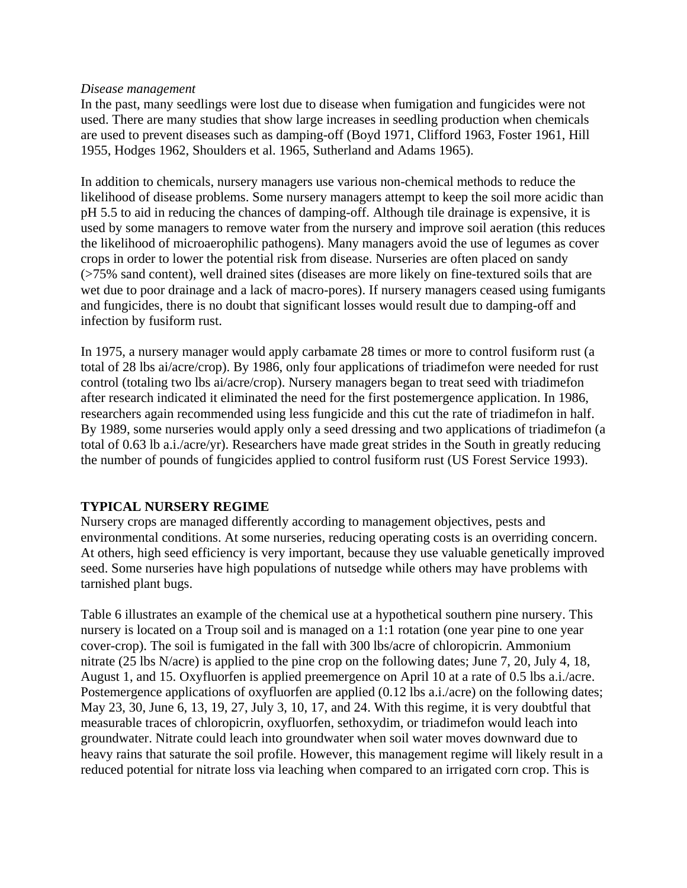#### *Disease management*

In the past, many seedlings were lost due to disease when fumigation and fungicides were not used. There are many studies that show large increases in seedling production when chemicals are used to prevent diseases such as damping-off (Boyd 1971, Clifford 1963, Foster 1961, Hill 1955, Hodges 1962, Shoulders et al. 1965, Sutherland and Adams 1965).

In addition to chemicals, nursery managers use various non-chemical methods to reduce the likelihood of disease problems. Some nursery managers attempt to keep the soil more acidic than pH 5.5 to aid in reducing the chances of damping-off. Although tile drainage is expensive, it is used by some managers to remove water from the nursery and improve soil aeration (this reduces the likelihood of microaerophilic pathogens). Many managers avoid the use of legumes as cover crops in order to lower the potential risk from disease. Nurseries are often placed on sandy (>75% sand content), well drained sites (diseases are more likely on fine-textured soils that are wet due to poor drainage and a lack of macro-pores). If nursery managers ceased using fumigants and fungicides, there is no doubt that significant losses would result due to damping-off and infection by fusiform rust.

In 1975, a nursery manager would apply carbamate 28 times or more to control fusiform rust (a total of 28 lbs ai/acre/crop). By 1986, only four applications of triadimefon were needed for rust control (totaling two lbs ai/acre/crop). Nursery managers began to treat seed with triadimefon after research indicated it eliminated the need for the first postemergence application. In 1986, researchers again recommended using less fungicide and this cut the rate of triadimefon in half. By 1989, some nurseries would apply only a seed dressing and two applications of triadimefon (a total of 0.63 lb a.i./acre/yr). Researchers have made great strides in the South in greatly reducing the number of pounds of fungicides applied to control fusiform rust (US Forest Service 1993).

#### **TYPICAL NURSERY REGIME**

Nursery crops are managed differently according to management objectives, pests and environmental conditions. At some nurseries, reducing operating costs is an overriding concern. At others, high seed efficiency is very important, because they use valuable genetically improved seed. Some nurseries have high populations of nutsedge while others may have problems with tarnished plant bugs.

Table 6 illustrates an example of the chemical use at a hypothetical southern pine nursery. This nursery is located on a Troup soil and is managed on a 1:1 rotation (one year pine to one year cover-crop). The soil is fumigated in the fall with 300 lbs/acre of chloropicrin. Ammonium nitrate (25 lbs N/acre) is applied to the pine crop on the following dates; June 7, 20, July 4, 18, August 1, and 15. Oxyfluorfen is applied preemergence on April 10 at a rate of 0.5 lbs a.i./acre. Postemergence applications of oxyfluorfen are applied (0.12 lbs a.i./acre) on the following dates; May 23, 30, June 6, 13, 19, 27, July 3, 10, 17, and 24. With this regime, it is very doubtful that measurable traces of chloropicrin, oxyfluorfen, sethoxydim, or triadimefon would leach into groundwater. Nitrate could leach into groundwater when soil water moves downward due to heavy rains that saturate the soil profile. However, this management regime will likely result in a reduced potential for nitrate loss via leaching when compared to an irrigated corn crop. This is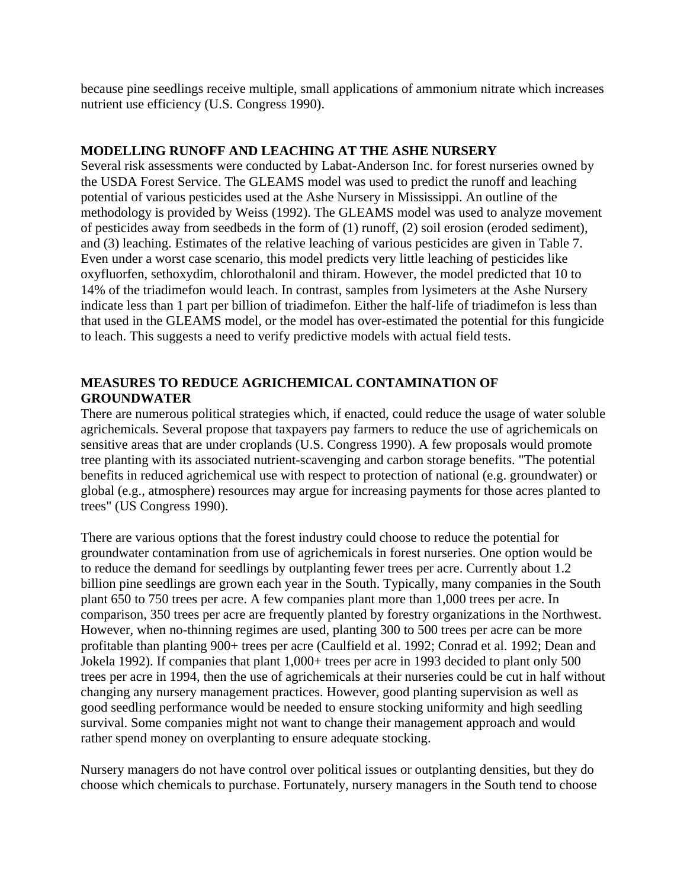because pine seedlings receive multiple, small applications of ammonium nitrate which increases nutrient use efficiency (U.S. Congress 1990).

# **MODELLING RUNOFF AND LEACHING AT THE ASHE NURSERY**

Several risk assessments were conducted by Labat-Anderson Inc. for forest nurseries owned by the USDA Forest Service. The GLEAMS model was used to predict the runoff and leaching potential of various pesticides used at the Ashe Nursery in Mississippi. An outline of the methodology is provided by Weiss (1992). The GLEAMS model was used to analyze movement of pesticides away from seedbeds in the form of (1) runoff, (2) soil erosion (eroded sediment), and (3) leaching. Estimates of the relative leaching of various pesticides are given in Table 7. Even under a worst case scenario, this model predicts very little leaching of pesticides like oxyfluorfen, sethoxydim, chlorothalonil and thiram. However, the model predicted that 10 to 14% of the triadimefon would leach. In contrast, samples from lysimeters at the Ashe Nursery indicate less than 1 part per billion of triadimefon. Either the half-life of triadimefon is less than that used in the GLEAMS model, or the model has over-estimated the potential for this fungicide to leach. This suggests a need to verify predictive models with actual field tests.

# **MEASURES TO REDUCE AGRICHEMICAL CONTAMINATION OF GROUNDWATER**

There are numerous political strategies which, if enacted, could reduce the usage of water soluble agrichemicals. Several propose that taxpayers pay farmers to reduce the use of agrichemicals on sensitive areas that are under croplands (U.S. Congress 1990). A few proposals would promote tree planting with its associated nutrient-scavenging and carbon storage benefits. "The potential benefits in reduced agrichemical use with respect to protection of national (e.g. groundwater) or global (e.g., atmosphere) resources may argue for increasing payments for those acres planted to trees" (US Congress 1990).

There are various options that the forest industry could choose to reduce the potential for groundwater contamination from use of agrichemicals in forest nurseries. One option would be to reduce the demand for seedlings by outplanting fewer trees per acre. Currently about 1.2 billion pine seedlings are grown each year in the South. Typically, many companies in the South plant 650 to 750 trees per acre. A few companies plant more than 1,000 trees per acre. In comparison, 350 trees per acre are frequently planted by forestry organizations in the Northwest. However, when no-thinning regimes are used, planting 300 to 500 trees per acre can be more profitable than planting 900+ trees per acre (Caulfield et al. 1992; Conrad et al. 1992; Dean and Jokela 1992). If companies that plant 1,000+ trees per acre in 1993 decided to plant only 500 trees per acre in 1994, then the use of agrichemicals at their nurseries could be cut in half without changing any nursery management practices. However, good planting supervision as well as good seedling performance would be needed to ensure stocking uniformity and high seedling survival. Some companies might not want to change their management approach and would rather spend money on overplanting to ensure adequate stocking.

Nursery managers do not have control over political issues or outplanting densities, but they do choose which chemicals to purchase. Fortunately, nursery managers in the South tend to choose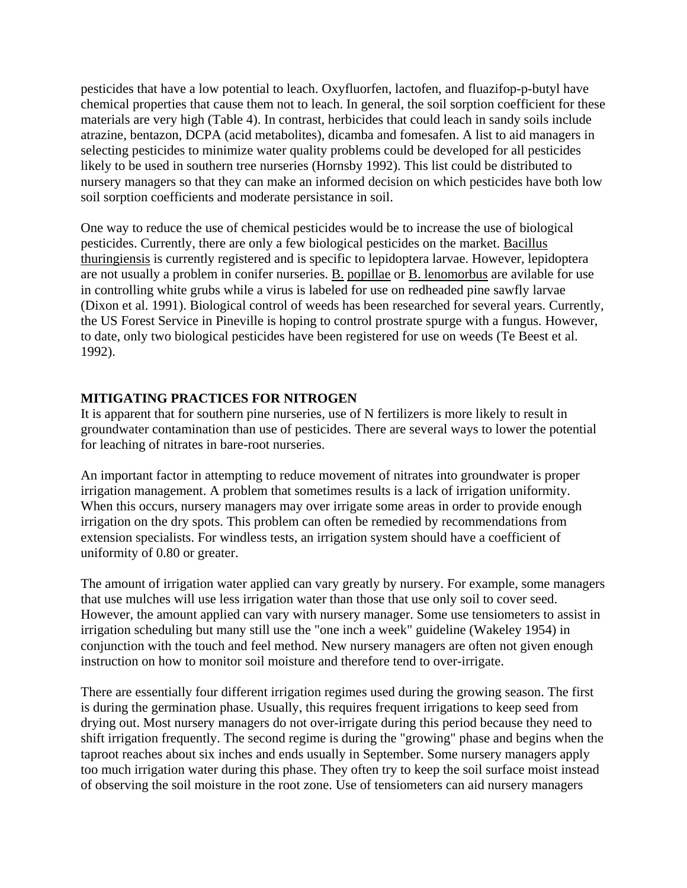pesticides that have a low potential to leach. Oxyfluorfen, lactofen, and fluazifop-p-butyl have chemical properties that cause them not to leach. In general, the soil sorption coefficient for these materials are very high (Table 4). In contrast, herbicides that could leach in sandy soils include atrazine, bentazon, DCPA (acid metabolites), dicamba and fomesafen. A list to aid managers in selecting pesticides to minimize water quality problems could be developed for all pesticides likely to be used in southern tree nurseries (Hornsby 1992). This list could be distributed to nursery managers so that they can make an informed decision on which pesticides have both low soil sorption coefficients and moderate persistance in soil.

One way to reduce the use of chemical pesticides would be to increase the use of biological pesticides. Currently, there are only a few biological pesticides on the market. Bacillus thuringiensis is currently registered and is specific to lepidoptera larvae. However, lepidoptera are not usually a problem in conifer nurseries. B. popillae or B. lenomorbus are avilable for use in controlling white grubs while a virus is labeled for use on redheaded pine sawfly larvae (Dixon et al. 1991). Biological control of weeds has been researched for several years. Currently, the US Forest Service in Pineville is hoping to control prostrate spurge with a fungus. However, to date, only two biological pesticides have been registered for use on weeds (Te Beest et al. 1992).

# **MITIGATING PRACTICES FOR NITROGEN**

It is apparent that for southern pine nurseries, use of N fertilizers is more likely to result in groundwater contamination than use of pesticides. There are several ways to lower the potential for leaching of nitrates in bare-root nurseries.

An important factor in attempting to reduce movement of nitrates into groundwater is proper irrigation management. A problem that sometimes results is a lack of irrigation uniformity. When this occurs, nursery managers may over irrigate some areas in order to provide enough irrigation on the dry spots. This problem can often be remedied by recommendations from extension specialists. For windless tests, an irrigation system should have a coefficient of uniformity of 0.80 or greater.

The amount of irrigation water applied can vary greatly by nursery. For example, some managers that use mulches will use less irrigation water than those that use only soil to cover seed. However, the amount applied can vary with nursery manager. Some use tensiometers to assist in irrigation scheduling but many still use the "one inch a week" guideline (Wakeley 1954) in conjunction with the touch and feel method. New nursery managers are often not given enough instruction on how to monitor soil moisture and therefore tend to over-irrigate.

There are essentially four different irrigation regimes used during the growing season. The first is during the germination phase. Usually, this requires frequent irrigations to keep seed from drying out. Most nursery managers do not over-irrigate during this period because they need to shift irrigation frequently. The second regime is during the "growing" phase and begins when the taproot reaches about six inches and ends usually in September. Some nursery managers apply too much irrigation water during this phase. They often try to keep the soil surface moist instead of observing the soil moisture in the root zone. Use of tensiometers can aid nursery managers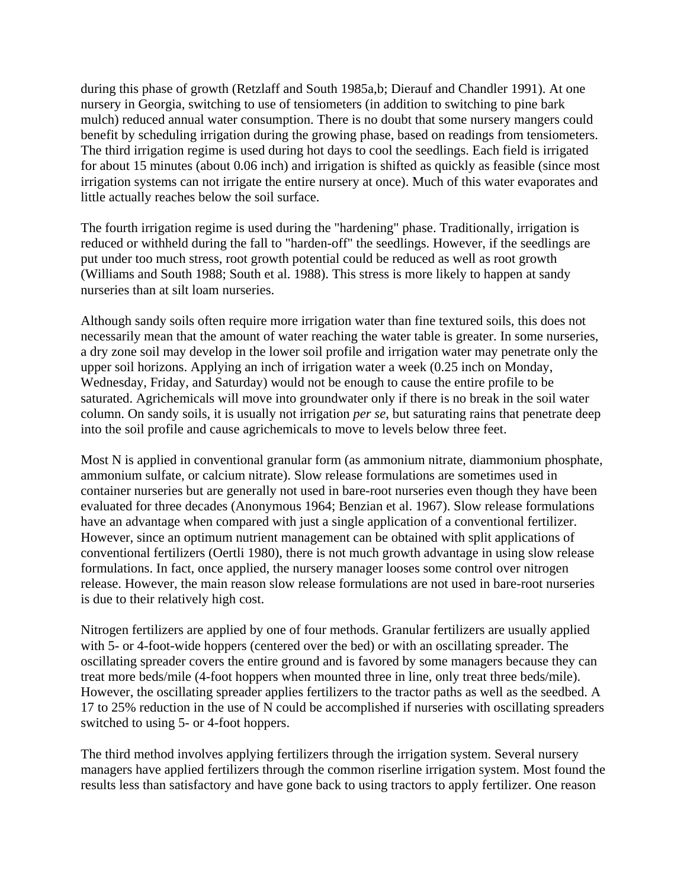during this phase of growth (Retzlaff and South 1985a,b; Dierauf and Chandler 1991). At one nursery in Georgia, switching to use of tensiometers (in addition to switching to pine bark mulch) reduced annual water consumption. There is no doubt that some nursery mangers could benefit by scheduling irrigation during the growing phase, based on readings from tensiometers. The third irrigation regime is used during hot days to cool the seedlings. Each field is irrigated for about 15 minutes (about 0.06 inch) and irrigation is shifted as quickly as feasible (since most irrigation systems can not irrigate the entire nursery at once). Much of this water evaporates and little actually reaches below the soil surface.

The fourth irrigation regime is used during the "hardening" phase. Traditionally, irrigation is reduced or withheld during the fall to "harden-off" the seedlings. However, if the seedlings are put under too much stress, root growth potential could be reduced as well as root growth (Williams and South 1988; South et al. 1988). This stress is more likely to happen at sandy nurseries than at silt loam nurseries.

Although sandy soils often require more irrigation water than fine textured soils, this does not necessarily mean that the amount of water reaching the water table is greater. In some nurseries, a dry zone soil may develop in the lower soil profile and irrigation water may penetrate only the upper soil horizons. Applying an inch of irrigation water a week (0.25 inch on Monday, Wednesday, Friday, and Saturday) would not be enough to cause the entire profile to be saturated. Agrichemicals will move into groundwater only if there is no break in the soil water column. On sandy soils, it is usually not irrigation *per se*, but saturating rains that penetrate deep into the soil profile and cause agrichemicals to move to levels below three feet.

Most N is applied in conventional granular form (as ammonium nitrate, diammonium phosphate, ammonium sulfate, or calcium nitrate). Slow release formulations are sometimes used in container nurseries but are generally not used in bare-root nurseries even though they have been evaluated for three decades (Anonymous 1964; Benzian et al. 1967). Slow release formulations have an advantage when compared with just a single application of a conventional fertilizer. However, since an optimum nutrient management can be obtained with split applications of conventional fertilizers (Oertli 1980), there is not much growth advantage in using slow release formulations. In fact, once applied, the nursery manager looses some control over nitrogen release. However, the main reason slow release formulations are not used in bare-root nurseries is due to their relatively high cost.

Nitrogen fertilizers are applied by one of four methods. Granular fertilizers are usually applied with 5- or 4-foot-wide hoppers (centered over the bed) or with an oscillating spreader. The oscillating spreader covers the entire ground and is favored by some managers because they can treat more beds/mile (4-foot hoppers when mounted three in line, only treat three beds/mile). However, the oscillating spreader applies fertilizers to the tractor paths as well as the seedbed. A 17 to 25% reduction in the use of N could be accomplished if nurseries with oscillating spreaders switched to using 5- or 4-foot hoppers.

The third method involves applying fertilizers through the irrigation system. Several nursery managers have applied fertilizers through the common riserline irrigation system. Most found the results less than satisfactory and have gone back to using tractors to apply fertilizer. One reason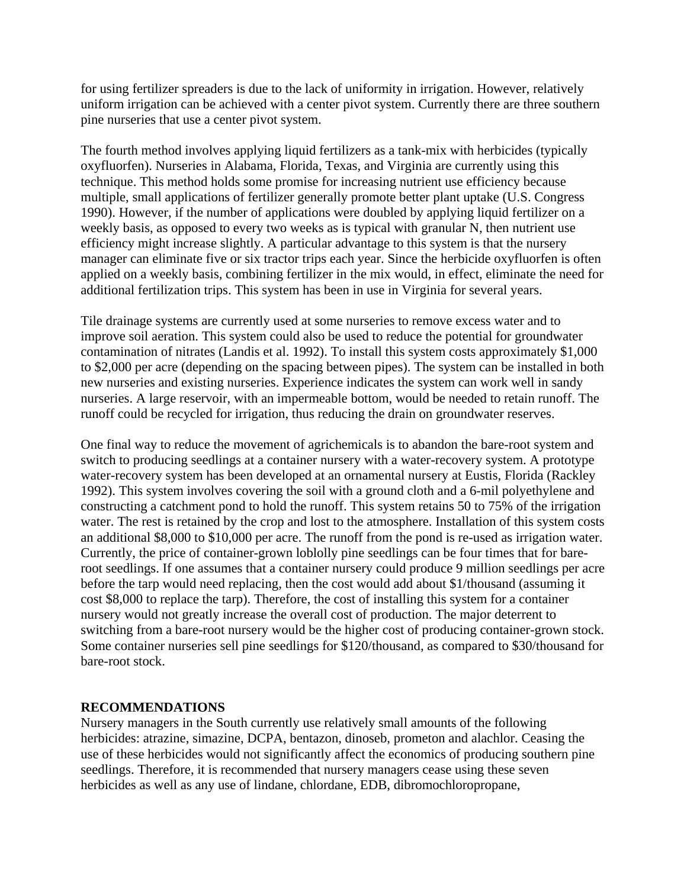for using fertilizer spreaders is due to the lack of uniformity in irrigation. However, relatively uniform irrigation can be achieved with a center pivot system. Currently there are three southern pine nurseries that use a center pivot system.

The fourth method involves applying liquid fertilizers as a tank-mix with herbicides (typically oxyfluorfen). Nurseries in Alabama, Florida, Texas, and Virginia are currently using this technique. This method holds some promise for increasing nutrient use efficiency because multiple, small applications of fertilizer generally promote better plant uptake (U.S. Congress 1990). However, if the number of applications were doubled by applying liquid fertilizer on a weekly basis, as opposed to every two weeks as is typical with granular N, then nutrient use efficiency might increase slightly. A particular advantage to this system is that the nursery manager can eliminate five or six tractor trips each year. Since the herbicide oxyfluorfen is often applied on a weekly basis, combining fertilizer in the mix would, in effect, eliminate the need for additional fertilization trips. This system has been in use in Virginia for several years.

Tile drainage systems are currently used at some nurseries to remove excess water and to improve soil aeration. This system could also be used to reduce the potential for groundwater contamination of nitrates (Landis et al. 1992). To install this system costs approximately \$1,000 to \$2,000 per acre (depending on the spacing between pipes). The system can be installed in both new nurseries and existing nurseries. Experience indicates the system can work well in sandy nurseries. A large reservoir, with an impermeable bottom, would be needed to retain runoff. The runoff could be recycled for irrigation, thus reducing the drain on groundwater reserves.

One final way to reduce the movement of agrichemicals is to abandon the bare-root system and switch to producing seedlings at a container nursery with a water-recovery system. A prototype water-recovery system has been developed at an ornamental nursery at Eustis, Florida (Rackley 1992). This system involves covering the soil with a ground cloth and a 6-mil polyethylene and constructing a catchment pond to hold the runoff. This system retains 50 to 75% of the irrigation water. The rest is retained by the crop and lost to the atmosphere. Installation of this system costs an additional \$8,000 to \$10,000 per acre. The runoff from the pond is re-used as irrigation water. Currently, the price of container-grown loblolly pine seedlings can be four times that for bareroot seedlings. If one assumes that a container nursery could produce 9 million seedlings per acre before the tarp would need replacing, then the cost would add about \$1/thousand (assuming it cost \$8,000 to replace the tarp). Therefore, the cost of installing this system for a container nursery would not greatly increase the overall cost of production. The major deterrent to switching from a bare-root nursery would be the higher cost of producing container-grown stock. Some container nurseries sell pine seedlings for \$120/thousand, as compared to \$30/thousand for bare-root stock.

#### **RECOMMENDATIONS**

Nursery managers in the South currently use relatively small amounts of the following herbicides: atrazine, simazine, DCPA, bentazon, dinoseb, prometon and alachlor. Ceasing the use of these herbicides would not significantly affect the economics of producing southern pine seedlings. Therefore, it is recommended that nursery managers cease using these seven herbicides as well as any use of lindane, chlordane, EDB, dibromochloropropane,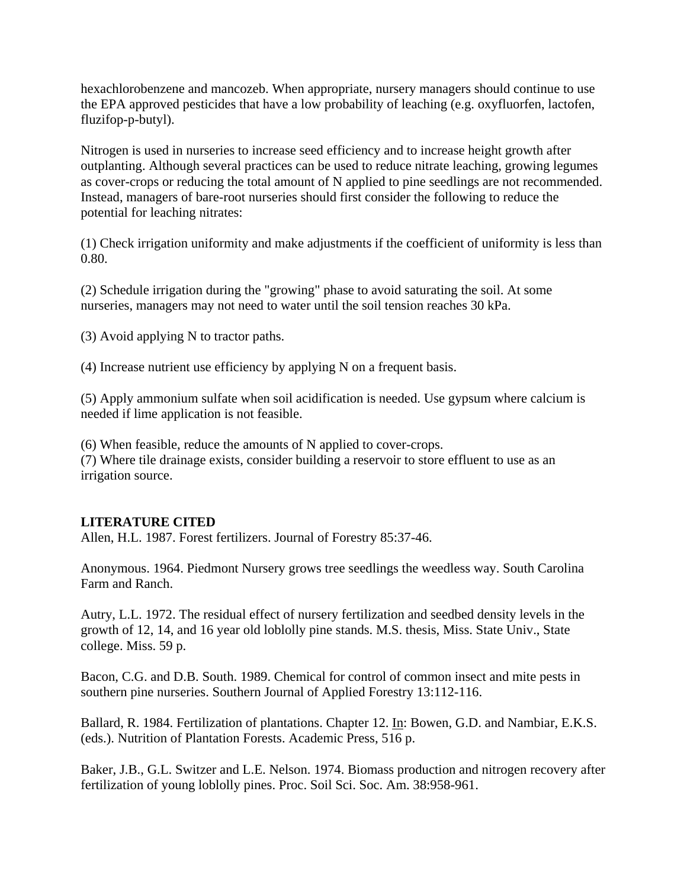hexachlorobenzene and mancozeb. When appropriate, nursery managers should continue to use the EPA approved pesticides that have a low probability of leaching (e.g. oxyfluorfen, lactofen, fluzifop-p-butyl).

Nitrogen is used in nurseries to increase seed efficiency and to increase height growth after outplanting. Although several practices can be used to reduce nitrate leaching, growing legumes as cover-crops or reducing the total amount of N applied to pine seedlings are not recommended. Instead, managers of bare-root nurseries should first consider the following to reduce the potential for leaching nitrates:

(1) Check irrigation uniformity and make adjustments if the coefficient of uniformity is less than 0.80.

(2) Schedule irrigation during the "growing" phase to avoid saturating the soil. At some nurseries, managers may not need to water until the soil tension reaches 30 kPa.

(3) Avoid applying N to tractor paths.

(4) Increase nutrient use efficiency by applying N on a frequent basis.

(5) Apply ammonium sulfate when soil acidification is needed. Use gypsum where calcium is needed if lime application is not feasible.

(6) When feasible, reduce the amounts of N applied to cover-crops. (7) Where tile drainage exists, consider building a reservoir to store effluent to use as an irrigation source.

#### **LITERATURE CITED**

Allen, H.L. 1987. Forest fertilizers. Journal of Forestry 85:37-46.

Anonymous. 1964. Piedmont Nursery grows tree seedlings the weedless way. South Carolina Farm and Ranch.

Autry, L.L. 1972. The residual effect of nursery fertilization and seedbed density levels in the growth of 12, 14, and 16 year old loblolly pine stands. M.S. thesis, Miss. State Univ., State college. Miss. 59 p.

Bacon, C.G. and D.B. South. 1989. Chemical for control of common insect and mite pests in southern pine nurseries. Southern Journal of Applied Forestry 13:112-116.

Ballard, R. 1984. Fertilization of plantations. Chapter 12. In: Bowen, G.D. and Nambiar, E.K.S. (eds.). Nutrition of Plantation Forests. Academic Press, 516 p.

Baker, J.B., G.L. Switzer and L.E. Nelson. 1974. Biomass production and nitrogen recovery after fertilization of young loblolly pines. Proc. Soil Sci. Soc. Am. 38:958-961.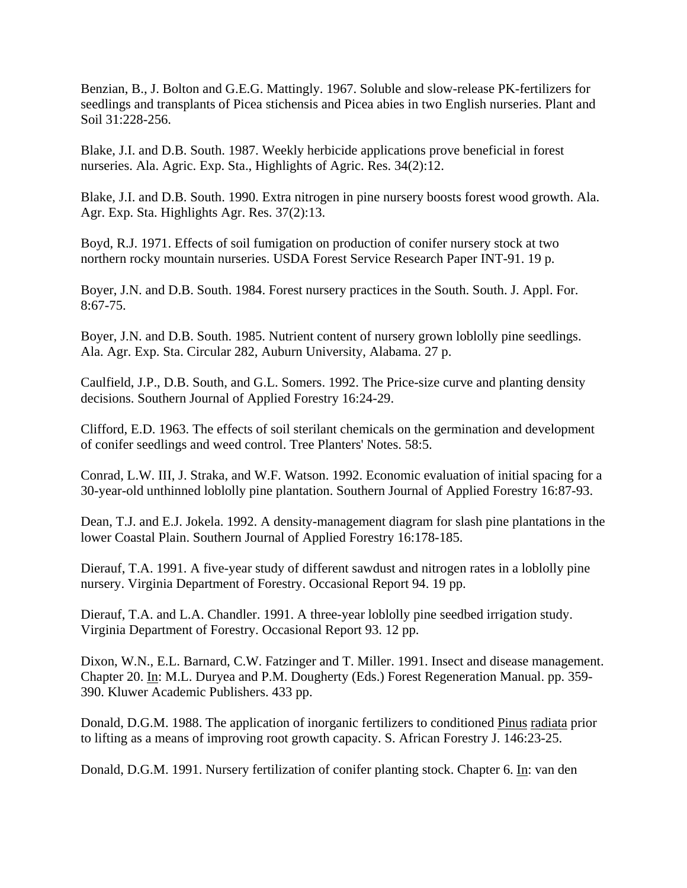Benzian, B., J. Bolton and G.E.G. Mattingly. 1967. Soluble and slow-release PK-fertilizers for seedlings and transplants of Picea stichensis and Picea abies in two English nurseries. Plant and Soil 31:228-256.

Blake, J.I. and D.B. South. 1987. Weekly herbicide applications prove beneficial in forest nurseries. Ala. Agric. Exp. Sta., Highlights of Agric. Res. 34(2):12.

Blake, J.I. and D.B. South. 1990. Extra nitrogen in pine nursery boosts forest wood growth. Ala. Agr. Exp. Sta. Highlights Agr. Res. 37(2):13.

Boyd, R.J. 1971. Effects of soil fumigation on production of conifer nursery stock at two northern rocky mountain nurseries. USDA Forest Service Research Paper INT-91. 19 p.

Boyer, J.N. and D.B. South. 1984. Forest nursery practices in the South. South. J. Appl. For.  $8:67-75$ .

Boyer, J.N. and D.B. South. 1985. Nutrient content of nursery grown loblolly pine seedlings. Ala. Agr. Exp. Sta. Circular 282, Auburn University, Alabama. 27 p.

Caulfield, J.P., D.B. South, and G.L. Somers. 1992. The Price-size curve and planting density decisions. Southern Journal of Applied Forestry 16:24-29.

Clifford, E.D. 1963. The effects of soil sterilant chemicals on the germination and development of conifer seedlings and weed control. Tree Planters' Notes. 58:5.

Conrad, L.W. III, J. Straka, and W.F. Watson. 1992. Economic evaluation of initial spacing for a 30-year-old unthinned loblolly pine plantation. Southern Journal of Applied Forestry 16:87-93.

Dean, T.J. and E.J. Jokela. 1992. A density-management diagram for slash pine plantations in the lower Coastal Plain. Southern Journal of Applied Forestry 16:178-185.

Dierauf, T.A. 1991. A five-year study of different sawdust and nitrogen rates in a loblolly pine nursery. Virginia Department of Forestry. Occasional Report 94. 19 pp.

Dierauf, T.A. and L.A. Chandler. 1991. A three-year loblolly pine seedbed irrigation study. Virginia Department of Forestry. Occasional Report 93. 12 pp.

Dixon, W.N., E.L. Barnard, C.W. Fatzinger and T. Miller. 1991. Insect and disease management. Chapter 20. In: M.L. Duryea and P.M. Dougherty (Eds.) Forest Regeneration Manual. pp. 359- 390. Kluwer Academic Publishers. 433 pp.

Donald, D.G.M. 1988. The application of inorganic fertilizers to conditioned Pinus radiata prior to lifting as a means of improving root growth capacity. S. African Forestry J. 146:23-25.

Donald, D.G.M. 1991. Nursery fertilization of conifer planting stock. Chapter 6. In: van den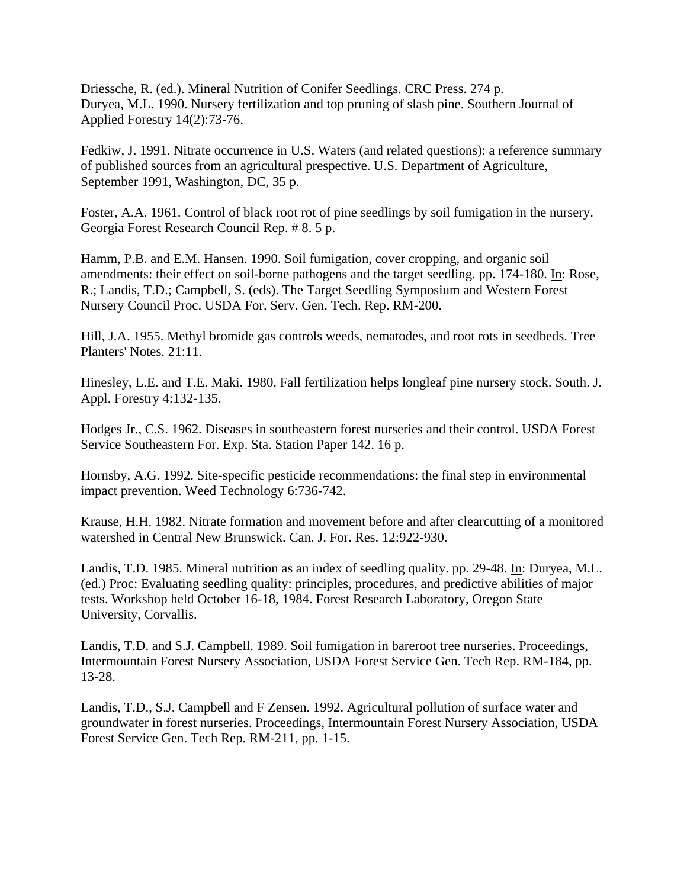Driessche, R. (ed.). Mineral Nutrition of Conifer Seedlings. CRC Press. 274 p. Duryea, M.L. 1990. Nursery fertilization and top pruning of slash pine. Southern Journal of Applied Forestry 14(2):73-76.

Fedkiw, J. 1991. Nitrate occurrence in U.S. Waters (and related questions): a reference summary of published sources from an agricultural prespective. U.S. Department of Agriculture, September 1991, Washington, DC, 35 p.

Foster, A.A. 1961. Control of black root rot of pine seedlings by soil fumigation in the nursery. Georgia Forest Research Council Rep. # 8. 5 p.

Hamm, P.B. and E.M. Hansen. 1990. Soil fumigation, cover cropping, and organic soil amendments: their effect on soil-borne pathogens and the target seedling. pp. 174-180. In: Rose, R.; Landis, T.D.; Campbell, S. (eds). The Target Seedling Symposium and Western Forest Nursery Council Proc. USDA For. Serv. Gen. Tech. Rep. RM-200.

Hill, J.A. 1955. Methyl bromide gas controls weeds, nematodes, and root rots in seedbeds. Tree Planters' Notes. 21:11.

Hinesley, L.E. and T.E. Maki. 1980. Fall fertilization helps longleaf pine nursery stock. South. J. Appl. Forestry 4:132-135.

Hodges Jr., C.S. 1962. Diseases in southeastern forest nurseries and their control. USDA Forest Service Southeastern For. Exp. Sta. Station Paper 142. 16 p.

Hornsby, A.G. 1992. Site-specific pesticide recommendations: the final step in environmental impact prevention. Weed Technology 6:736-742.

Krause, H.H. 1982. Nitrate formation and movement before and after clearcutting of a monitored watershed in Central New Brunswick. Can. J. For. Res. 12:922-930.

Landis, T.D. 1985. Mineral nutrition as an index of seedling quality. pp. 29-48. In: Duryea, M.L. (ed.) Proc: Evaluating seedling quality: principles, procedures, and predictive abilities of major tests. Workshop held October 16-18, 1984. Forest Research Laboratory, Oregon State University, Corvallis.

Landis, T.D. and S.J. Campbell. 1989. Soil fumigation in bareroot tree nurseries. Proceedings, Intermountain Forest Nursery Association, USDA Forest Service Gen. Tech Rep. RM-184, pp. 13-28.

Landis, T.D., S.J. Campbell and F Zensen. 1992. Agricultural pollution of surface water and groundwater in forest nurseries. Proceedings, Intermountain Forest Nursery Association, USDA Forest Service Gen. Tech Rep. RM-211, pp. 1-15.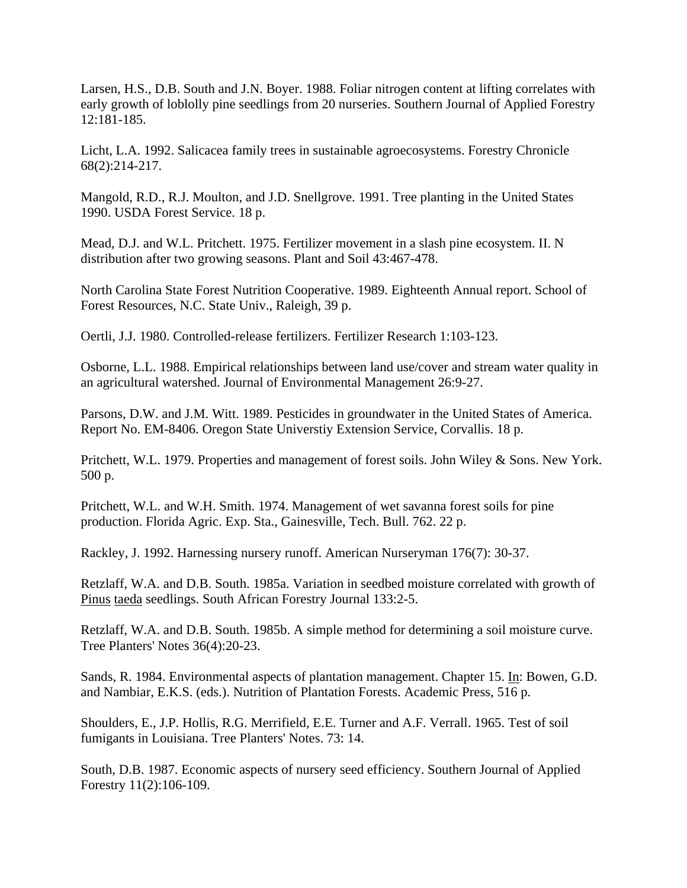Larsen, H.S., D.B. South and J.N. Boyer. 1988. Foliar nitrogen content at lifting correlates with early growth of loblolly pine seedlings from 20 nurseries. Southern Journal of Applied Forestry 12:181-185.

Licht, L.A. 1992. Salicacea family trees in sustainable agroecosystems. Forestry Chronicle 68(2):214-217.

Mangold, R.D., R.J. Moulton, and J.D. Snellgrove. 1991. Tree planting in the United States 1990. USDA Forest Service. 18 p.

Mead, D.J. and W.L. Pritchett. 1975. Fertilizer movement in a slash pine ecosystem. II. N distribution after two growing seasons. Plant and Soil 43:467-478.

North Carolina State Forest Nutrition Cooperative. 1989. Eighteenth Annual report. School of Forest Resources, N.C. State Univ., Raleigh, 39 p.

Oertli, J.J. 1980. Controlled-release fertilizers. Fertilizer Research 1:103-123.

Osborne, L.L. 1988. Empirical relationships between land use/cover and stream water quality in an agricultural watershed. Journal of Environmental Management 26:9-27.

Parsons, D.W. and J.M. Witt. 1989. Pesticides in groundwater in the United States of America. Report No. EM-8406. Oregon State Universtiy Extension Service, Corvallis. 18 p.

Pritchett, W.L. 1979. Properties and management of forest soils. John Wiley & Sons. New York. 500 p.

Pritchett, W.L. and W.H. Smith. 1974. Management of wet savanna forest soils for pine production. Florida Agric. Exp. Sta., Gainesville, Tech. Bull. 762. 22 p.

Rackley, J. 1992. Harnessing nursery runoff. American Nurseryman 176(7): 30-37.

Retzlaff, W.A. and D.B. South. 1985a. Variation in seedbed moisture correlated with growth of Pinus taeda seedlings. South African Forestry Journal 133:2-5.

Retzlaff, W.A. and D.B. South. 1985b. A simple method for determining a soil moisture curve. Tree Planters' Notes 36(4):20-23.

Sands, R. 1984. Environmental aspects of plantation management. Chapter 15. In: Bowen, G.D. and Nambiar, E.K.S. (eds.). Nutrition of Plantation Forests. Academic Press, 516 p.

Shoulders, E., J.P. Hollis, R.G. Merrifield, E.E. Turner and A.F. Verrall. 1965. Test of soil fumigants in Louisiana. Tree Planters' Notes. 73: 14.

South, D.B. 1987. Economic aspects of nursery seed efficiency. Southern Journal of Applied Forestry 11(2):106-109.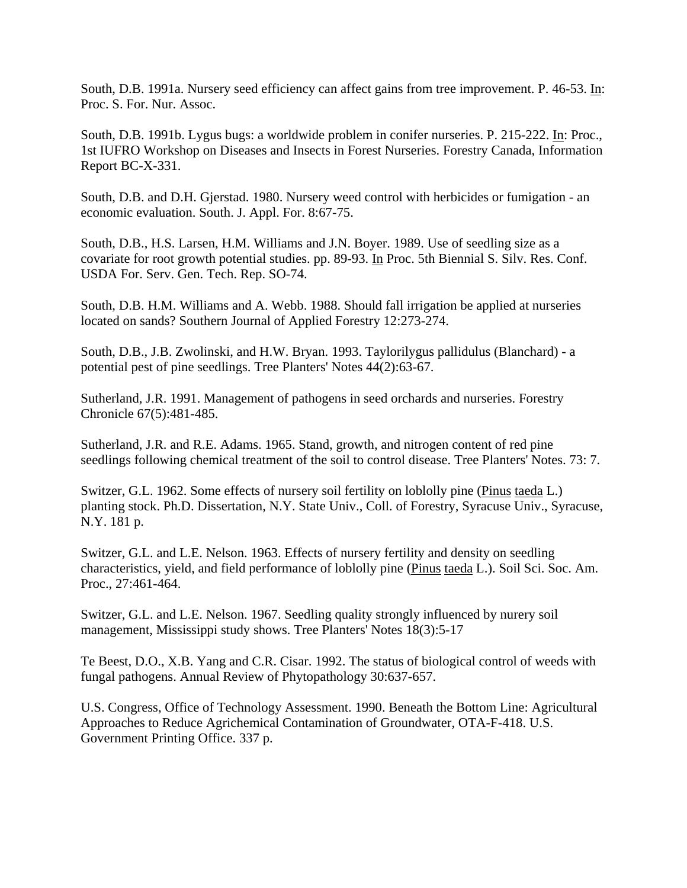South, D.B. 1991a. Nursery seed efficiency can affect gains from tree improvement. P. 46-53. In: Proc. S. For. Nur. Assoc.

South, D.B. 1991b. Lygus bugs: a worldwide problem in conifer nurseries. P. 215-222. In: Proc., 1st IUFRO Workshop on Diseases and Insects in Forest Nurseries. Forestry Canada, Information Report BC-X-331.

South, D.B. and D.H. Gjerstad. 1980. Nursery weed control with herbicides or fumigation - an economic evaluation. South. J. Appl. For. 8:67-75.

South, D.B., H.S. Larsen, H.M. Williams and J.N. Boyer. 1989. Use of seedling size as a covariate for root growth potential studies. pp. 89-93. In Proc. 5th Biennial S. Silv. Res. Conf. USDA For. Serv. Gen. Tech. Rep. SO-74.

South, D.B. H.M. Williams and A. Webb. 1988. Should fall irrigation be applied at nurseries located on sands? Southern Journal of Applied Forestry 12:273-274.

South, D.B., J.B. Zwolinski, and H.W. Bryan. 1993. Taylorilygus pallidulus (Blanchard) - a potential pest of pine seedlings. Tree Planters' Notes 44(2):63-67.

Sutherland, J.R. 1991. Management of pathogens in seed orchards and nurseries. Forestry Chronicle 67(5):481-485.

Sutherland, J.R. and R.E. Adams. 1965. Stand, growth, and nitrogen content of red pine seedlings following chemical treatment of the soil to control disease. Tree Planters' Notes. 73: 7.

Switzer, G.L. 1962. Some effects of nursery soil fertility on loblolly pine (Pinus taeda L.) planting stock. Ph.D. Dissertation, N.Y. State Univ., Coll. of Forestry, Syracuse Univ., Syracuse, N.Y. 181 p.

Switzer, G.L. and L.E. Nelson. 1963. Effects of nursery fertility and density on seedling characteristics, yield, and field performance of loblolly pine (Pinus taeda L.). Soil Sci. Soc. Am. Proc., 27:461-464.

Switzer, G.L. and L.E. Nelson. 1967. Seedling quality strongly influenced by nurery soil management, Mississippi study shows. Tree Planters' Notes 18(3):5-17

Te Beest, D.O., X.B. Yang and C.R. Cisar. 1992. The status of biological control of weeds with fungal pathogens. Annual Review of Phytopathology 30:637-657.

U.S. Congress, Office of Technology Assessment. 1990. Beneath the Bottom Line: Agricultural Approaches to Reduce Agrichemical Contamination of Groundwater, OTA-F-418. U.S. Government Printing Office. 337 p.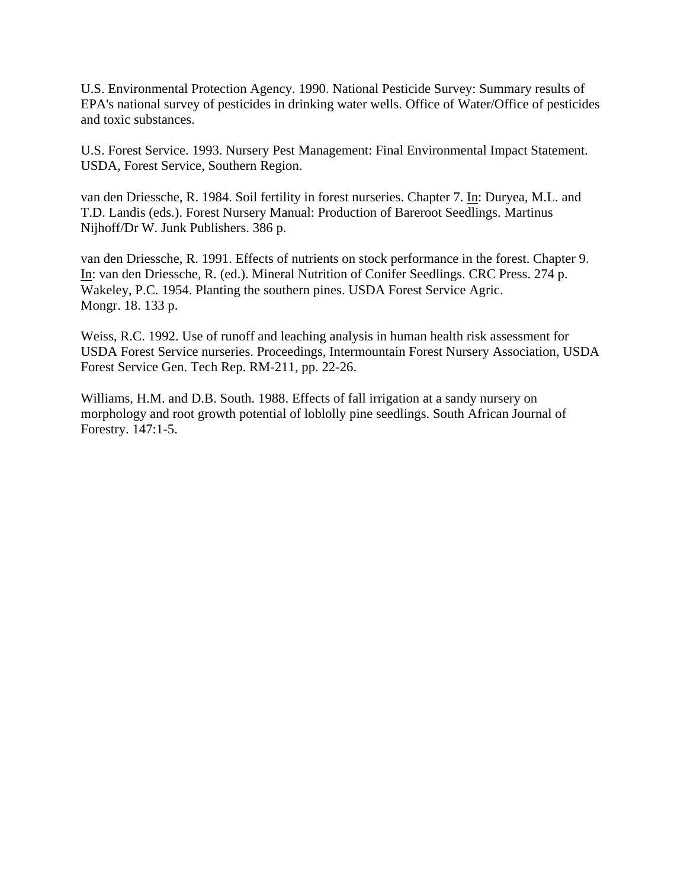U.S. Environmental Protection Agency. 1990. National Pesticide Survey: Summary results of EPA's national survey of pesticides in drinking water wells. Office of Water/Office of pesticides and toxic substances.

U.S. Forest Service. 1993. Nursery Pest Management: Final Environmental Impact Statement. USDA, Forest Service, Southern Region.

van den Driessche, R. 1984. Soil fertility in forest nurseries. Chapter 7. In: Duryea, M.L. and T.D. Landis (eds.). Forest Nursery Manual: Production of Bareroot Seedlings. Martinus Nijhoff/Dr W. Junk Publishers. 386 p.

van den Driessche, R. 1991. Effects of nutrients on stock performance in the forest. Chapter 9. In: van den Driessche, R. (ed.). Mineral Nutrition of Conifer Seedlings. CRC Press. 274 p. Wakeley, P.C. 1954. Planting the southern pines. USDA Forest Service Agric. Mongr. 18. 133 p.

Weiss, R.C. 1992. Use of runoff and leaching analysis in human health risk assessment for USDA Forest Service nurseries. Proceedings, Intermountain Forest Nursery Association, USDA Forest Service Gen. Tech Rep. RM-211, pp. 22-26.

Williams, H.M. and D.B. South. 1988. Effects of fall irrigation at a sandy nursery on morphology and root growth potential of loblolly pine seedlings. South African Journal of Forestry. 147:1-5.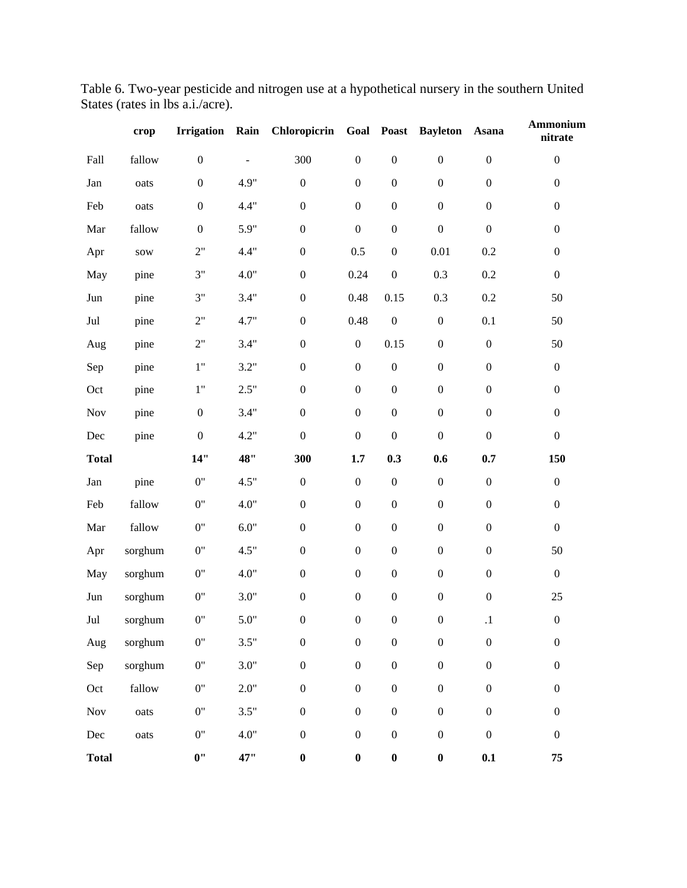| Table 6. Two-year pesticide and nitrogen use at a hypothetical nursery in the southern United |  |  |
|-----------------------------------------------------------------------------------------------|--|--|
| States (rates in lbs a.i./acre).                                                              |  |  |

|                      | crop    | <b>Irrigation</b> | Rain   | Chloropicrin Goal Poast |                  |                  | <b>Bayleton</b>  | Asana            | Ammonium<br>nitrate |
|----------------------|---------|-------------------|--------|-------------------------|------------------|------------------|------------------|------------------|---------------------|
| Fall                 | fallow  | $\boldsymbol{0}$  |        | 300                     | $\boldsymbol{0}$ | $\boldsymbol{0}$ | $\boldsymbol{0}$ | $\boldsymbol{0}$ | $\boldsymbol{0}$    |
| Jan                  | oats    | $\boldsymbol{0}$  | 4.9"   | $\boldsymbol{0}$        | $\boldsymbol{0}$ | $\boldsymbol{0}$ | $\boldsymbol{0}$ | $\boldsymbol{0}$ | $\boldsymbol{0}$    |
| Feb                  | oats    | $\boldsymbol{0}$  | 4.4"   | $\boldsymbol{0}$        | $\boldsymbol{0}$ | $\boldsymbol{0}$ | $\boldsymbol{0}$ | $\boldsymbol{0}$ | $\boldsymbol{0}$    |
| Mar                  | fallow  | $\boldsymbol{0}$  | 5.9"   | $\boldsymbol{0}$        | $\boldsymbol{0}$ | $\boldsymbol{0}$ | $\boldsymbol{0}$ | $\boldsymbol{0}$ | $\boldsymbol{0}$    |
| Apr                  | sow     | 2"                | 4.4"   | $\boldsymbol{0}$        | 0.5              | $\boldsymbol{0}$ | $0.01\,$         | 0.2              | $\boldsymbol{0}$    |
| May                  | pine    | 3"                | 4.0"   | $\boldsymbol{0}$        | 0.24             | $\boldsymbol{0}$ | 0.3              | 0.2              | $\boldsymbol{0}$    |
| Jun                  | pine    | 3"                | 3.4"   | $\boldsymbol{0}$        | $0.48\,$         | 0.15             | 0.3              | $0.2\,$          | 50                  |
| $\mathrm{Jul}$       | pine    | 2"                | 4.7"   | $\boldsymbol{0}$        | 0.48             | $\boldsymbol{0}$ | $\boldsymbol{0}$ | $0.1\,$          | 50                  |
| Aug                  | pine    | 2"                | 3.4"   | $\boldsymbol{0}$        | $\boldsymbol{0}$ | 0.15             | $\boldsymbol{0}$ | $\boldsymbol{0}$ | 50                  |
| Sep                  | pine    | 1"                | 3.2"   | $\boldsymbol{0}$        | $\boldsymbol{0}$ | $\boldsymbol{0}$ | $\boldsymbol{0}$ | $\boldsymbol{0}$ | $\boldsymbol{0}$    |
| Oct                  | pine    | 1"                | 2.5"   | $\boldsymbol{0}$        | $\boldsymbol{0}$ | $\boldsymbol{0}$ | $\boldsymbol{0}$ | $\boldsymbol{0}$ | $\boldsymbol{0}$    |
| Nov                  | pine    | $\boldsymbol{0}$  | 3.4"   | $\boldsymbol{0}$        | $\boldsymbol{0}$ | $\boldsymbol{0}$ | $\boldsymbol{0}$ | $\boldsymbol{0}$ | $\boldsymbol{0}$    |
| Dec                  | pine    | $\boldsymbol{0}$  | 4.2"   | $\boldsymbol{0}$        | $\boldsymbol{0}$ | $\boldsymbol{0}$ | $\boldsymbol{0}$ | $\boldsymbol{0}$ | $\boldsymbol{0}$    |
| <b>Total</b>         |         | 14"               | 48"    | 300                     | 1.7              | 0.3              | 0.6              | 0.7              | 150                 |
| Jan                  | pine    | $0"$              | 4.5"   | $\boldsymbol{0}$        | $\boldsymbol{0}$ | $\boldsymbol{0}$ | $\boldsymbol{0}$ | $\boldsymbol{0}$ | $\boldsymbol{0}$    |
| Feb                  | fallow  | 0"                | 4.0"   | $\boldsymbol{0}$        | $\boldsymbol{0}$ | $\boldsymbol{0}$ | $\boldsymbol{0}$ | $\boldsymbol{0}$ | $\boldsymbol{0}$    |
| Mar                  | fallow  | 0"                | $6.0"$ | $\boldsymbol{0}$        | $\boldsymbol{0}$ | $\boldsymbol{0}$ | $\boldsymbol{0}$ | $\boldsymbol{0}$ | $\boldsymbol{0}$    |
| Apr                  | sorghum | 0"                | 4.5"   | $\boldsymbol{0}$        | $\boldsymbol{0}$ | $\boldsymbol{0}$ | $\boldsymbol{0}$ | $\boldsymbol{0}$ | 50                  |
| May                  | sorghum | 0"                | 4.0"   | $\boldsymbol{0}$        | $\boldsymbol{0}$ | $\boldsymbol{0}$ | $\boldsymbol{0}$ | $\boldsymbol{0}$ | $\boldsymbol{0}$    |
| $_{\rm Jun}$         | sorghum | 0"                | 3.0"   | $\boldsymbol{0}$        | $\boldsymbol{0}$ | $\boldsymbol{0}$ | $\boldsymbol{0}$ | $\boldsymbol{0}$ | 25                  |
| Jul                  | sorghum | 0"                | 5.0"   | $\boldsymbol{0}$        | $\boldsymbol{0}$ | $\boldsymbol{0}$ | $\mathbf{0}$     | .1               | $\boldsymbol{0}$    |
| Aug                  | sorghum | 0"                | 3.5"   | $\boldsymbol{0}$        | $\boldsymbol{0}$ | $\boldsymbol{0}$ | $\boldsymbol{0}$ | $\boldsymbol{0}$ | $\boldsymbol{0}$    |
| Sep                  | sorghum | 0"                | 3.0"   | $\boldsymbol{0}$        | $\boldsymbol{0}$ | $\boldsymbol{0}$ | $\boldsymbol{0}$ | $\boldsymbol{0}$ | $\boldsymbol{0}$    |
| Oct                  | fallow  | 0"                | 2.0"   | $\boldsymbol{0}$        | $\boldsymbol{0}$ | $\boldsymbol{0}$ | $\boldsymbol{0}$ | $\boldsymbol{0}$ | $\boldsymbol{0}$    |
| $\operatorname{Nov}$ | oats    | 0"                | 3.5"   | $\boldsymbol{0}$        | $\boldsymbol{0}$ | $\boldsymbol{0}$ | $\boldsymbol{0}$ | $\boldsymbol{0}$ | $\boldsymbol{0}$    |
| $\rm Dec$            | oats    | 0"                | 4.0"   | $\boldsymbol{0}$        | $\boldsymbol{0}$ | $\boldsymbol{0}$ | $\boldsymbol{0}$ | $\boldsymbol{0}$ | $\boldsymbol{0}$    |
| <b>Total</b>         |         | $0$ "             | 47"    | $\boldsymbol{0}$        | $\boldsymbol{0}$ | $\pmb{0}$        | $\boldsymbol{0}$ | 0.1              | 75                  |